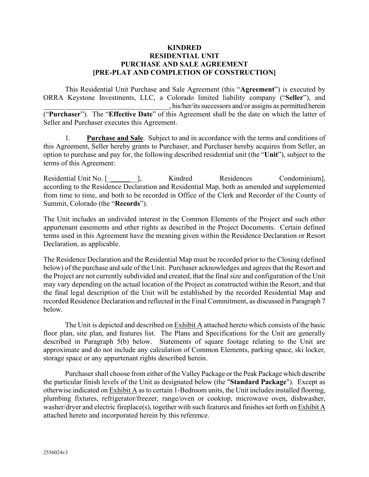#### **KINDRED RESIDENTIAL UNIT PURCHASE AND SALE AGREEMENT [PRE-PLAT AND COMPLETION OF CONSTRUCTION]**

This Residential Unit Purchase and Sale Agreement (this "**Agreement**") is executed by ORRA Keystone Investments, LLC, a Colorado limited liability company ("**Seller**"), and \_\_\_\_\_\_\_\_\_\_\_\_\_\_\_\_\_\_\_\_ \_\_\_\_\_\_\_\_\_\_\_, his/her/its successors and/or assigns as permitted herein ("**Purchaser**"). The "**Effective Date**" of this Agreement shall be the date on which the latter of Seller and Purchaser executes this Agreement.

1. **Purchase and Sale**. Subject to and in accordance with the terms and conditions of this Agreement, Seller hereby grants to Purchaser, and Purchaser hereby acquires from Seller, an option to purchase and pay for, the following described residential unit (the "**Unit**"), subject to the terms of this Agreement:

Residential Unit No. [\_ \_\_], Kindred Residences Condominium], according to the Residence Declaration and Residential Map, both as amended and supplemented from time to time, and both to be recorded in Office of the Clerk and Recorder of the County of Summit, Colorado (the "**Records**").

The Unit includes an undivided interest in the Common Elements of the Project and such other appurtenant easements and other rights as described in the Project Documents. Certain defined terms used in this Agreement have the meaning given within the Residence Declaration or Resort Declaration, as applicable.

The Residence Declaration and the Residential Map must be recorded prior to the Closing (defined below) of the purchase and sale of the Unit. Purchaser acknowledges and agrees that the Resort and the Project are not currently subdivided and created, that the final size and configuration of the Unit may vary depending on the actual location of the Project as constructed within the Resort, and that the final legal description of the Unit will be established by the recorded Residential Map and recorded Residence Declaration and reflected in the Final Commitment, as discussed in Paragraph 7 below.

The Unit is depicted and described on Exhibit A attached hereto which consists of the basic floor plan, site plan, and features list. The Plans and Specifications for the Unit are generally described in Paragraph 5(b) below. Statements of square footage relating to the Unit are approximate and do not include any calculation of Common Elements, parking space, ski locker, storage space or any appurtenant rights described herein.

Purchaser shall choose from either of the Valley Package or the Peak Package which describe the particular finish levels of the Unit as designated below (the "**Standard Package**"). Except as otherwise indicated on Exhibit A as to certain 1-Bedroom units, the Unit includes installed flooring, plumbing fixtures, refrigerator/freezer, range/oven or cooktop, microwave oven, dishwasher, washer/dryer and electric fireplace(s), together with such features and finishes set forth on Exhibit A attached hereto and incorporated herein by this reference.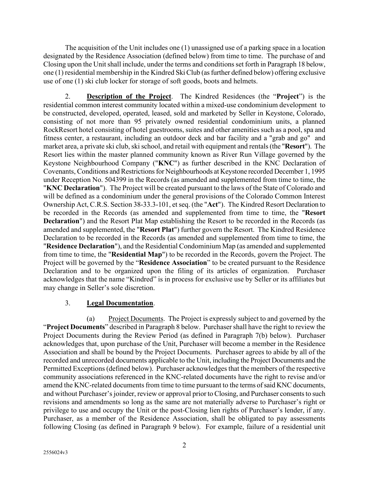The acquisition of the Unit includes one (1) unassigned use of a parking space in a location designated by the Residence Association (defined below) from time to time. The purchase of and Closing upon the Unit shall include, under the terms and conditions set forth in Paragraph 18 below, one (1) residential membership in the Kindred Ski Club (as further defined below) offering exclusive use of one (1) ski club locker for storage of soft goods, boots and helmets.

2. **Description of the Project**. The Kindred Residences (the "**Project**") is the residential common interest community located within a mixed-use condominium development to be constructed, developed, operated, leased, sold and marketed by Seller in Keystone, Colorado, consisting of not more than 95 privately owned residential condominium units, a planned RockResort hotel consisting of hotel guestrooms, suites and other amenities such as a pool, spa and fitness center, a restaurant, including an outdoor deck and bar facility and a "grab and go" and market area, a private ski club, ski school, and retail with equipment and rentals(the "**Resort**"). The Resort lies within the master planned community known as River Run Village governed by the Keystone Neighbourhood Company ("**KNC**") as further described in the KNC Declaration of Covenants, Conditions and Restrictions for Neighbourhoods at Keystone recorded December 1, 1995 under Reception No. 504399 in the Records (as amended and supplemented from time to time, the "**KNC Declaration**"). The Project will be created pursuant to the laws of the State of Colorado and will be defined as a condominium under the general provisions of the Colorado Common Interest Ownership Act, C.R.S. Section 38-33.3-101, et seq. (the "**Act**"). The Kindred Resort Declaration to be recorded in the Records (as amended and supplemented from time to time, the "**Resort Declaration**") and the Resort Plat Map establishing the Resort to be recorded in the Records (as amended and supplemented, the "**Resort Plat**") further govern the Resort. The Kindred Residence Declaration to be recorded in the Records (as amended and supplemented from time to time, the "**Residence Declaration**"), and the Residential Condominium Map (as amended and supplemented from time to time, the "**Residential Map**") to be recorded in the Records, govern the Project. The Project will be governed by the "**Residence Association**" to be created pursuant to the Residence Declaration and to be organized upon the filing of its articles of organization. Purchaser acknowledges that the name "Kindred" is in process for exclusive use by Seller or its affiliates but may change in Seller's sole discretion.

#### 3. **Legal Documentation**.

(a) Project Documents. The Project is expressly subject to and governed by the "**Project Documents**" described in Paragraph 8 below. Purchaser shall have the right to review the Project Documents during the Review Period (as defined in Paragraph [7\(b\)](#page-7-0) below). Purchaser acknowledges that, upon purchase of the Unit, Purchaser will become a member in the Residence Association and shall be bound by the Project Documents. Purchaser agrees to abide by all of the recorded and unrecorded documents applicable to the Unit, including the Project Documents and the Permitted Exceptions (defined below). Purchaser acknowledges that the members of the respective community associations referenced in the KNC-related documents have the right to revise and/or amend the KNC-related documents from time to time pursuant to the terms of said KNC documents, and without Purchaser's joinder, review or approval prior to Closing, and Purchaser consents to such revisions and amendments so long as the same are not materially adverse to Purchaser's right or privilege to use and occupy the Unit or the post-Closing lien rights of Purchaser's lender, if any. Purchaser, as a member of the Residence Association, shall be obligated to pay assessments following Closing (as defined in Paragraph 9 below). For example, failure of a residential unit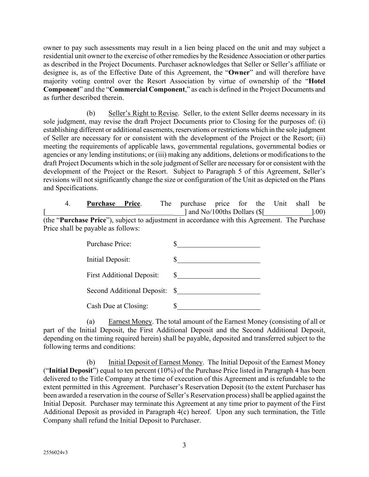owner to pay such assessments may result in a lien being placed on the unit and may subject a residential unit owner to the exercise of other remedies by the Residence Association or other parties as described in the Project Documents. Purchaser acknowledges that Seller or Seller's affiliate or designee is, as of the Effective Date of this Agreement, the "**Owner**" and will therefore have majority voting control over the Resort Association by virtue of ownership of the "**Hotel Component**" and the "**Commercial Component**," as each is defined in the Project Documents and as further described therein.

(b) Seller's Right to Revise. Seller, to the extent Seller deems necessary in its sole judgment, may revise the draft Project Documents prior to Closing for the purposes of: (i) establishing different or additional easements, reservations or restrictions which in the sole judgment of Seller are necessary for or consistent with the development of the Project or the Resort; (ii) meeting the requirements of applicable laws, governmental regulations, governmental bodies or agencies or any lending institutions; or (iii) making any additions, deletions or modifications to the draft Project Documents which in the sole judgment of Seller are necessary for or consistent with the development of the Project or the Resort. Subject to Paragraph 5 of this Agreement, Seller's revisions will not significantly change the size or configuration of the Unit as depicted on the Plans and Specifications.

<span id="page-2-0"></span>

|  | Purchase Price.                                                                                        | The | purchase price for the Unit shall be |  |  |       |
|--|--------------------------------------------------------------------------------------------------------|-----|--------------------------------------|--|--|-------|
|  |                                                                                                        |     | and No/100ths Dollars (\$            |  |  | 1.00) |
|  | (the " <b>Purchase Price</b> "), subject to adjustment in accordance with this Agreement. The Purchase |     |                                      |  |  |       |
|  | Price shall be payable as follows:                                                                     |     |                                      |  |  |       |

| Purchase Price:                  |     |
|----------------------------------|-----|
| Initial Deposit:                 |     |
| <b>First Additional Deposit:</b> |     |
| Second Additional Deposit:       | S S |
| Cash Due at Closing:             |     |

(a) Earnest Money. The total amount of the Earnest Money (consisting of all or part of the Initial Deposit, the First Additional Deposit and the Second Additional Deposit, depending on the timing required herein) shall be payable, deposited and transferred subject to the following terms and conditions:

(b) Initial Deposit of Earnest Money. The Initial Deposit of the Earnest Money ("**Initial Deposit**") equal to ten percent (10%) of the Purchase Price listed in Paragraph 4 has been delivered to the Title Company at the time of execution of this Agreement and is refundable to the extent permitted in this Agreement. Purchaser's Reservation Deposit (to the extent Purchaser has been awarded a reservation in the course of Seller's Reservation process) shall be applied against the Initial Deposit. Purchaser may terminate this Agreement at any time prior to payment of the First Additional Deposit as provided in Paragraph 4(c) hereof. Upon any such termination, the Title Company shall refund the Initial Deposit to Purchaser.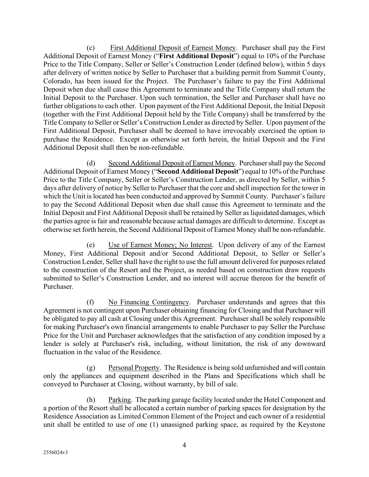(c) First Additional Deposit of Earnest Money. Purchaser shall pay the First Additional Deposit of Earnest Money ("**First Additional Deposit**") equal to 10% of the Purchase Price to the Title Company, Seller or Seller's Construction Lender (defined below), within 5 days after delivery of written notice by Seller to Purchaser that a building permit from Summit County, Colorado, has been issued for the Project. The Purchaser's failure to pay the First Additional Deposit when due shall cause this Agreement to terminate and the Title Company shall return the Initial Deposit to the Purchaser. Upon such termination, the Seller and Purchaser shall have no further obligations to each other. Upon payment of the First Additional Deposit, the Initial Deposit (together with the First Additional Deposit held by the Title Company) shall be transferred by the Title Company to Seller or Seller's Construction Lender as directed by Seller. Upon payment of the First Additional Deposit, Purchaser shall be deemed to have irrevocably exercised the option to purchase the Residence. Except as otherwise set forth herein, the Initial Deposit and the First Additional Deposit shall then be non-refundable.

(d) Second Additional Deposit of Earnest Money. Purchasershall pay the Second Additional Deposit of Earnest Money ("**Second Additional Deposit**") equal to 10% of the Purchase Price to the Title Company, Seller or Seller's Construction Lender, as directed by Seller, within 5 days after delivery of notice by Seller to Purchaser that the core and shell inspection for the tower in which the Unit is located has been conducted and approved by Summit County. Purchaser's failure to pay the Second Additional Deposit when due shall cause this Agreement to terminate and the Initial Deposit and First Additional Deposit shall be retained by Seller as liquidated damages, which the parties agree is fair and reasonable because actual damages are difficult to determine. Except as otherwise set forth herein, the Second Additional Deposit of Earnest Money shall be non-refundable.

(e) Use of Earnest Money; No Interest. Upon delivery of any of the Earnest Money, First Additional Deposit and/or Second Additional Deposit, to Seller or Seller's Construction Lender, Seller shall have the right to use the full amount delivered for purposes related to the construction of the Resort and the Project, as needed based on construction draw requests submitted to Seller's Construction Lender, and no interest will accrue thereon for the benefit of Purchaser.

(f) No Financing Contingency. Purchaser understands and agrees that this Agreement is not contingent upon Purchaser obtaining financing for Closing and that Purchaser will be obligated to pay all cash at Closing under this Agreement. Purchaser shall be solely responsible for making Purchaser's own financial arrangements to enable Purchaser to pay Seller the Purchase Price for the Unit and Purchaser acknowledges that the satisfaction of any condition imposed by a lender is solely at Purchaser's risk, including, without limitation, the risk of any downward fluctuation in the value of the Residence.

 $(g)$  Personal Property. The Residence is being sold unfurnished and will contain only the appliances and equipment described in the Plans and Specifications which shall be conveyed to Purchaser at Closing, without warranty, by bill of sale.

(h) Parking. The parking garage facility located under the Hotel Component and a portion of the Resort shall be allocated a certain number of parking spaces for designation by the Residence Association as Limited Common Element of the Project and each owner of a residential unit shall be entitled to use of one (1) unassigned parking space, as required by the Keystone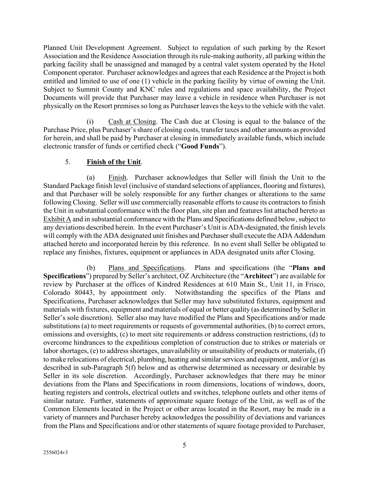Planned Unit Development Agreement. Subject to regulation of such parking by the Resort Association and the Residence Association through its rule-making authority, all parking within the parking facility shall be unassigned and managed by a central valet system operated by the Hotel Component operator. Purchaser acknowledges and agrees that each Residence at the Project is both entitled and limited to use of one (1) vehicle in the parking facility by virtue of owning the Unit. Subject to Summit County and KNC rules and regulations and space availability, the Project Documents will provide that Purchaser may leave a vehicle in residence when Purchaser is not physically on the Resort premises so long as Purchaser leaves the keys to the vehicle with the valet.

(i) Cash at Closing. The Cash due at Closing is equal to the balance of the Purchase Price, plus Purchaser's share of closing costs, transfer taxes and other amounts as provided for herein, and shall be paid by Purchaser at closing in immediately available funds, which include electronic transfer of funds or certified check ("**Good Funds**").

### 5. **Finish of the Unit**.

(a) Finish. Purchaser acknowledges that Seller will finish the Unit to the Standard Package finish level (inclusive of standard selections of appliances, flooring and fixtures), and that Purchaser will be solely responsible for any further changes or alterations to the same following Closing. Seller will use commercially reasonable efforts to cause its contractors to finish the Unit in substantial conformance with the floor plan, site plan and features list attached hereto as Exhibit A and in substantial conformance with the Plans and Specifications defined below, subject to any deviations described herein. In the event Purchaser's Unit is ADA-designated, the finish levels will comply with the ADA designated unit finishes and Purchaser shall execute the ADA Addendum attached hereto and incorporated herein by this reference. In no event shall Seller be obligated to replace any finishes, fixtures, equipment or appliances in ADA designated units after Closing.

(b) Plans and Specifications. Plans and specifications (the "**Plans and Specifications**") prepared by Seller's architect, OZ Architecture (the "**Architect**") are available for review by Purchaser at the offices of Kindred Residences at 610 Main St., Unit 11, in Frisco, Colorado 80443, by appointment only. Notwithstanding the specifics of the Plans and Specifications, Purchaser acknowledges that Seller may have substituted fixtures, equipment and materials with fixtures, equipment and materials of equal or better quality (as determined by Seller in Seller's sole discretion). Seller also may have modified the Plans and Specifications and/or made substitutions (a) to meet requirements or requests of governmental authorities, (b) to correct errors, omissions and oversights, (c) to meet site requirements or address construction restrictions, (d) to overcome hindrances to the expeditious completion of construction due to strikes or materials or labor shortages, (e) to address shortages, unavailability or unsuitability of products or materials, (f) to make relocations of electrical, plumbing, heating and similar services and equipment, and/or  $(g)$  as described in sub-Paragraph 5(f) below and as otherwise determined as necessary or desirable by Seller in its sole discretion. Accordingly, Purchaser acknowledges that there may be minor deviations from the Plans and Specifications in room dimensions, locations of windows, doors, heating registers and controls, electrical outlets and switches, telephone outlets and other items of similar nature. Further, statements of approximate square footage of the Unit, as well as of the Common Elements located in the Project or other areas located in the Resort, may be made in a variety of manners and Purchaser hereby acknowledges the possibility of deviations and variances from the Plans and Specifications and/or other statements of square footage provided to Purchaser,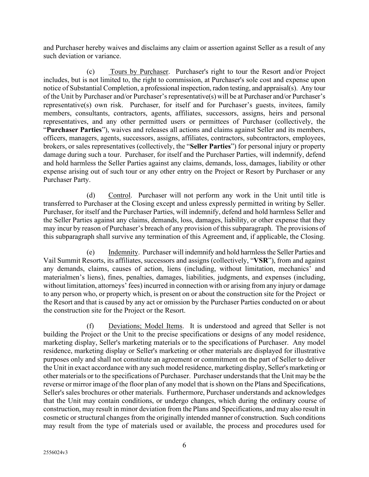and Purchaser hereby waives and disclaims any claim or assertion against Seller as a result of any such deviation or variance.

(c) Tours by Purchaser. Purchaser's right to tour the Resort and/or Project includes, but is not limited to, the right to commission, at Purchaser's sole cost and expense upon notice of Substantial Completion, a professional inspection, radon testing, and appraisal(s). Any tour of the Unit by Purchaser and/or Purchaser's representative(s) will be at Purchaser and/or Purchaser's representative(s) own risk. Purchaser, for itself and for Purchaser's guests, invitees, family members, consultants, contractors, agents, affiliates, successors, assigns, heirs and personal representatives, and any other permitted users or permittees of Purchaser (collectively, the "**Purchaser Parties**"), waives and releases all actions and claims against Seller and its members, officers, managers, agents, successors, assigns, affiliates, contractors, subcontractors, employees, brokers, or sales representatives (collectively, the "**Seller Parties**") for personal injury or property damage during such a tour. Purchaser, for itself and the Purchaser Parties, will indemnify, defend and hold harmless the Seller Parties against any claims, demands, loss, damages, liability or other expense arising out of such tour or any other entry on the Project or Resort by Purchaser or any Purchaser Party.

(d) Control. Purchaser will not perform any work in the Unit until title is transferred to Purchaser at the Closing except and unless expressly permitted in writing by Seller. Purchaser, for itself and the Purchaser Parties, will indemnify, defend and hold harmless Seller and the Seller Parties against any claims, demands, loss, damages, liability, or other expense that they may incur by reason of Purchaser's breach of any provision of thissubparagraph. The provisions of this subparagraph shall survive any termination of this Agreement and, if applicable, the Closing.

(e) Indemnity. Purchaser will indemnify and hold harmless the Seller Parties and Vail Summit Resorts, its affiliates, successors and assigns (collectively, "**VSR**"), from and against any demands, claims, causes of action, liens (including, without limitation, mechanics' and materialmen's liens), fines, penalties, damages, liabilities, judgments, and expenses (including, without limitation, attorneys' fees) incurred in connection with or arising from any injury or damage to any person who, or property which, is present on or about the construction site for the Project or the Resort and that is caused by any act or omission by the Purchaser Parties conducted on or about the construction site for the Project or the Resort.

(f) Deviations; Model Items. It is understood and agreed that Seller is not building the Project or the Unit to the precise specifications or designs of any model residence, marketing display, Seller's marketing materials or to the specifications of Purchaser. Any model residence, marketing display or Seller's marketing or other materials are displayed for illustrative purposes only and shall not constitute an agreement or commitment on the part of Seller to deliver the Unit in exact accordance with any such model residence, marketing display, Seller's marketing or other materials or to the specifications of Purchaser. Purchaser understands that the Unit may be the reverse or mirror image of the floor plan of any model that is shown on the Plans and Specifications, Seller's sales brochures or other materials. Furthermore, Purchaser understands and acknowledges that the Unit may contain conditions, or undergo changes, which during the ordinary course of construction, may result in minor deviation from the Plans and Specifications, and may also result in cosmetic or structural changes from the originally intended manner of construction. Such conditions may result from the type of materials used or available, the process and procedures used for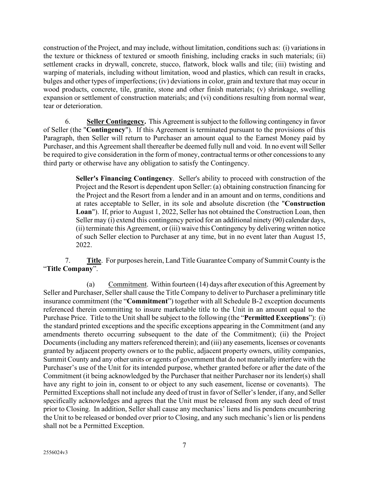construction of the Project, and may include, without limitation, conditions such as: (i) variations in the texture or thickness of textured or smooth finishing, including cracks in such materials; (ii) settlement cracks in drywall, concrete, stucco, flatwork, block walls and tile; (iii) twisting and warping of materials, including without limitation, wood and plastics, which can result in cracks, bulges and other types of imperfections; (iv) deviations in color, grain and texture that may occur in wood products, concrete, tile, granite, stone and other finish materials; (v) shrinkage, swelling expansion or settlement of construction materials; and (vi) conditions resulting from normal wear, tear or deterioration.

6. **Seller Contingency.** This Agreement is subject to the following contingency in favor of Seller (the "**Contingency**"). If this Agreement is terminated pursuant to the provisions of this Paragraph, then Seller will return to Purchaser an amount equal to the Earnest Money paid by Purchaser, and this Agreement shall thereafter be deemed fully null and void. In no event will Seller be required to give consideration in the form of money, contractual terms or other concessions to any third party or otherwise have any obligation to satisfy the Contingency.

> **Seller's Financing Contingency**. Seller's ability to proceed with construction of the Project and the Resort is dependent upon Seller: (a) obtaining construction financing for the Project and the Resort from a lender and in an amount and on terms, conditions and at rates acceptable to Seller, in its sole and absolute discretion (the "**Construction Loan**"). If, prior to August 1, 2022, Seller has not obtained the Construction Loan, then Seller may (i) extend this contingency period for an additional ninety (90) calendar days, (ii) terminate this Agreement, or (iii) waive this Contingency by delivering written notice of such Seller election to Purchaser at any time, but in no event later than August 15, 2022.

7. **Title**. For purposes herein, Land Title Guarantee Company of Summit County is the "**Title Company**".

<span id="page-6-0"></span>(a) Commitment. Within fourteen (14) days after execution of this Agreement by Seller and Purchaser, Seller shall cause the Title Company to deliver to Purchaser a preliminary title insurance commitment (the "**Commitment**") together with all Schedule B-2 exception documents referenced therein committing to insure marketable title to the Unit in an amount equal to the Purchase Price. Title to the Unit shall be subject to the following (the "**Permitted Exceptions**"): (i) the standard printed exceptions and the specific exceptions appearing in the Commitment (and any amendments thereto occurring subsequent to the date of the Commitment); (ii) the Project Documents (including any matters referenced therein); and (iii) any easements, licenses or covenants granted by adjacent property owners or to the public, adjacent property owners, utility companies, Summit County and any other units or agents of government that do not materially interfere with the Purchaser's use of the Unit for its intended purpose, whether granted before or after the date of the Commitment (it being acknowledged by the Purchaser that neither Purchaser nor its lender(s) shall have any right to join in, consent to or object to any such easement, license or covenants). The Permitted Exceptions shall not include any deed of trust in favor of Seller's lender, if any, and Seller specifically acknowledges and agrees that the Unit must be released from any such deed of trust prior to Closing. In addition, Seller shall cause any mechanics' liens and lis pendens encumbering the Unit to be released or bonded over prior to Closing, and any such mechanic's lien or lis pendens shall not be a Permitted Exception.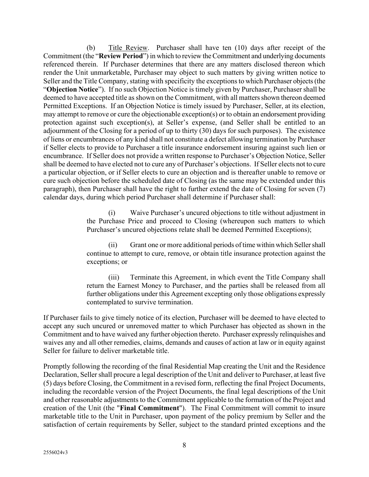<span id="page-7-0"></span>(b) Title Review. Purchaser shall have ten (10) days after receipt of the Commitment (the "**Review Period**") in which to review the Commitment and underlying documents referenced therein. If Purchaser determines that there are any matters disclosed thereon which render the Unit unmarketable, Purchaser may object to such matters by giving written notice to Seller and the Title Company, stating with specificity the exceptions to which Purchaser objects (the "**Objection Notice**"). If no such Objection Notice is timely given by Purchaser, Purchaser shall be deemed to have accepted title as shown on the Commitment, with all matters shown thereon deemed Permitted Exceptions. If an Objection Notice is timely issued by Purchaser, Seller, at its election, may attempt to remove or cure the objectionable exception(s) or to obtain an endorsement providing protection against such exception(s), at Seller's expense, (and Seller shall be entitled to an adjournment of the Closing for a period of up to thirty (30) days for such purposes). The existence of liens or encumbrances of any kind shall not constitute a defect allowing termination by Purchaser if Seller elects to provide to Purchaser a title insurance endorsement insuring against such lien or encumbrance. If Seller does not provide a written response to Purchaser's Objection Notice, Seller shall be deemed to have elected not to cure any of Purchaser's objections. If Seller elects not to cure a particular objection, or if Seller elects to cure an objection and is thereafter unable to remove or cure such objection before the scheduled date of Closing (as the same may be extended under this paragraph), then Purchaser shall have the right to further extend the date of Closing for seven (7) calendar days, during which period Purchaser shall determine if Purchaser shall:

> (i) Waive Purchaser's uncured objections to title without adjustment in the Purchase Price and proceed to Closing (whereupon such matters to which Purchaser's uncured objections relate shall be deemed Permitted Exceptions);

> (ii) Grant one or more additional periods of time within which Seller shall continue to attempt to cure, remove, or obtain title insurance protection against the exceptions; or

> (iii) Terminate this Agreement, in which event the Title Company shall return the Earnest Money to Purchaser, and the parties shall be released from all further obligations under this Agreement excepting only those obligations expressly contemplated to survive termination.

If Purchaser fails to give timely notice of its election, Purchaser will be deemed to have elected to accept any such uncured or unremoved matter to which Purchaser has objected as shown in the Commitment and to have waived any further objection thereto. Purchaser expressly relinquishes and waives any and all other remedies, claims, demands and causes of action at law or in equity against Seller for failure to deliver marketable title.

Promptly following the recording of the final Residential Map creating the Unit and the Residence Declaration, Seller shall procure a legal description of the Unit and deliver to Purchaser, at least five (5) days before Closing, the Commitment in a revised form, reflecting the final Project Documents, including the recordable version of the Project Documents, the final legal descriptions of the Unit and other reasonable adjustments to the Commitment applicable to the formation of the Project and creation of the Unit (the "**Final Commitment**"). The Final Commitment will commit to insure marketable title to the Unit in Purchaser, upon payment of the policy premium by Seller and the satisfaction of certain requirements by Seller, subject to the standard printed exceptions and the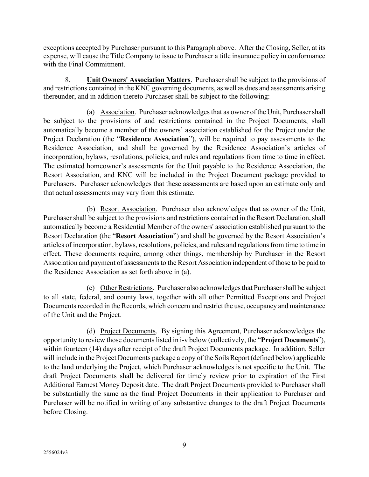exceptions accepted by Purchaser pursuant to this Paragraph above. After the Closing, Seller, at its expense, will cause the Title Company to issue to Purchaser a title insurance policy in conformance with the Final Commitment.

8. **Unit Owners' Association Matters**. Purchaser shall be subject to the provisions of and restrictions contained in the KNC governing documents, as well as dues and assessments arising thereunder, and in addition thereto Purchaser shall be subject to the following:

(a) Association. Purchaser acknowledges that as owner of the Unit, Purchaser shall be subject to the provisions of and restrictions contained in the Project Documents, shall automatically become a member of the owners' association established for the Project under the Project Declaration (the "**Residence Association**"), will be required to pay assessments to the Residence Association, and shall be governed by the Residence Association's articles of incorporation, bylaws, resolutions, policies, and rules and regulations from time to time in effect. The estimated homeowner's assessments for the Unit payable to the Residence Association, the Resort Association, and KNC will be included in the Project Document package provided to Purchasers. Purchaser acknowledges that these assessments are based upon an estimate only and that actual assessments may vary from this estimate.

(b) Resort Association. Purchaser also acknowledges that as owner of the Unit, Purchaser shall be subject to the provisions and restrictions contained in the Resort Declaration, shall automatically become a Residential Member of the owners' association established pursuant to the Resort Declaration (the "**Resort Association**") and shall be governed by the Resort Association's articles of incorporation, bylaws, resolutions, policies, and rules and regulations from time to time in effect. These documents require, among other things, membership by Purchaser in the Resort Association and payment of assessments to the Resort Association independent of those to be paid to the Residence Association as set forth above in (a).

(c) Other Restrictions. Purchaser also acknowledges that Purchaser shall be subject to all state, federal, and county laws, together with all other Permitted Exceptions and Project Documents recorded in the Records, which concern and restrict the use, occupancy and maintenance of the Unit and the Project.

(d) Project Documents. By signing this Agreement, Purchaser acknowledges the opportunity to review those documents listed in i-v below (collectively, the "**Project Documents**"), within fourteen (14) days after receipt of the draft Project Documents package. In addition, Seller will include in the Project Documents package a copy of the Soils Report (defined below) applicable to the land underlying the Project, which Purchaser acknowledges is not specific to the Unit. The draft Project Documents shall be delivered for timely review prior to expiration of the First Additional Earnest Money Deposit date. The draft Project Documents provided to Purchaser shall be substantially the same as the final Project Documents in their application to Purchaser and Purchaser will be notified in writing of any substantive changes to the draft Project Documents before Closing.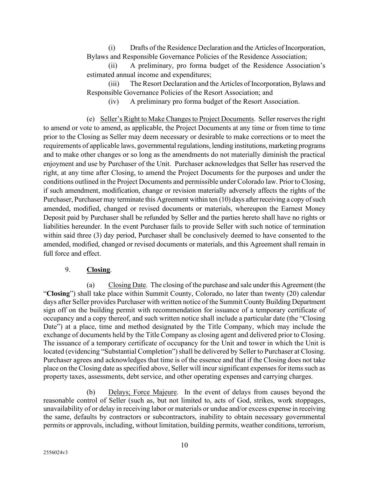(i) Drafts of the Residence Declaration and the Articles of Incorporation, Bylaws and Responsible Governance Policies of the Residence Association;

(ii) A preliminary, pro forma budget of the Residence Association's estimated annual income and expenditures;

(iii) The Resort Declaration and the Articles of Incorporation, Bylaws and Responsible Governance Policies of the Resort Association; and

(iv) A preliminary pro forma budget of the Resort Association.

(e) Seller's Right to Make Changes to Project Documents. Seller reserves the right to amend or vote to amend, as applicable, the Project Documents at any time or from time to time prior to the Closing as Seller may deem necessary or desirable to make corrections or to meet the requirements of applicable laws, governmental regulations, lending institutions, marketing programs and to make other changes or so long as the amendments do not materially diminish the practical enjoyment and use by Purchaser of the Unit. Purchaser acknowledges that Seller has reserved the right, at any time after Closing, to amend the Project Documents for the purposes and under the conditions outlined in the Project Documents and permissible under Colorado law. Prior to Closing, if such amendment, modification, change or revision materially adversely affects the rights of the Purchaser, Purchaser may terminate this Agreement within ten (10) days after receiving a copy of such amended, modified, changed or revised documents or materials, whereupon the Earnest Money Deposit paid by Purchaser shall be refunded by Seller and the parties hereto shall have no rights or liabilities hereunder. In the event Purchaser fails to provide Seller with such notice of termination within said three (3) day period, Purchaser shall be conclusively deemed to have consented to the amended, modified, changed or revised documents or materials, and this Agreement shall remain in full force and effect.

#### 9. **Closing**.

(a) Closing Date. The closing of the purchase and sale under this Agreement (the "**Closing**") shall take place within Summit County, Colorado, no later than twenty (20) calendar days after Seller provides Purchaser with written notice of the Summit County Building Department sign off on the building permit with recommendation for issuance of a temporary certificate of occupancy and a copy thereof, and such written notice shall include a particular date (the "Closing Date") at a place, time and method designated by the Title Company, which may include the exchange of documents held by the Title Company as closing agent and delivered prior to Closing. The issuance of a temporary certificate of occupancy for the Unit and tower in which the Unit is located (evidencing "Substantial Completion") shall be delivered by Seller to Purchaser at Closing. Purchaser agrees and acknowledges that time is of the essence and that if the Closing does not take place on the Closing date as specified above, Seller will incur significant expenses for items such as property taxes, assessments, debt service, and other operating expenses and carrying charges.

(b) Delays; Force Majeure. In the event of delays from causes beyond the reasonable control of Seller (such as, but not limited to, acts of God, strikes, work stoppages, unavailability of or delay in receiving labor or materials or undue and/or excess expense in receiving the same, defaults by contractors or subcontractors, inability to obtain necessary governmental permits or approvals, including, without limitation, building permits, weather conditions, terrorism,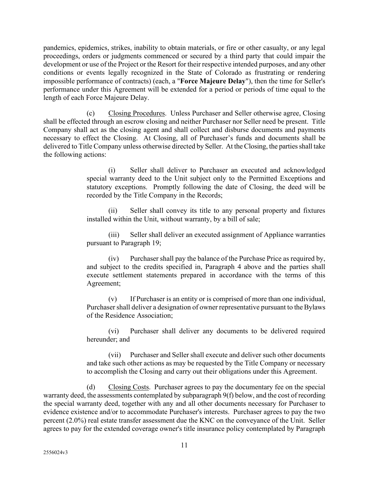pandemics, epidemics, strikes, inability to obtain materials, or fire or other casualty, or any legal proceedings, orders or judgments commenced or secured by a third party that could impair the development or use of the Project or the Resort for their respective intended purposes, and any other conditions or events legally recognized in the State of Colorado as frustrating or rendering impossible performance of contracts) (each, a "**Force Majeure Delay**"), then the time for Seller's performance under this Agreement will be extended for a period or periods of time equal to the length of each Force Majeure Delay.

(c) Closing Procedures. Unless Purchaser and Seller otherwise agree, Closing shall be effected through an escrow closing and neither Purchaser nor Seller need be present. Title Company shall act as the closing agent and shall collect and disburse documents and payments necessary to effect the Closing. At Closing, all of Purchaser's funds and documents shall be delivered to Title Company unless otherwise directed by Seller. At the Closing, the parties shall take the following actions:

> (i) Seller shall deliver to Purchaser an executed and acknowledged special warranty deed to the Unit subject only to the Permitted Exceptions and statutory exceptions. Promptly following the date of Closing, the deed will be recorded by the Title Company in the Records;

> (ii) Seller shall convey its title to any personal property and fixtures installed within the Unit, without warranty, by a bill of sale;

> (iii) Seller shall deliver an executed assignment of Appliance warranties pursuant to Paragraph 19;

> (iv) Purchaser shall pay the balance of the Purchase Price as required by, and subject to the credits specified in, Paragraph [4 above](#page-2-0) and the parties shall execute settlement statements prepared in accordance with the terms of this Agreement;

> (v) If Purchaser is an entity or is comprised of more than one individual, Purchaser shall deliver a designation of owner representative pursuant to the Bylaws of the Residence Association;

> (vi) Purchaser shall deliver any documents to be delivered required hereunder; and

> (vii) Purchaser and Seller shall execute and deliver such other documents and take such other actions as may be requested by the Title Company or necessary to accomplish the Closing and carry out their obligations under this Agreement.

(d) Closing Costs. Purchaser agrees to pay the documentary fee on the special warranty deed, the assessments contemplated by subparagraph [9\(f\)](#page-11-0) below, and the cost of recording the special warranty deed, together with any and all other documents necessary for Purchaser to evidence existence and/or to accommodate Purchaser's interests. Purchaser agrees to pay the two percent (2.0%) real estate transfer assessment due the KNC on the conveyance of the Unit. Seller agrees to pay for the extended coverage owner's title insurance policy contemplated by Paragraph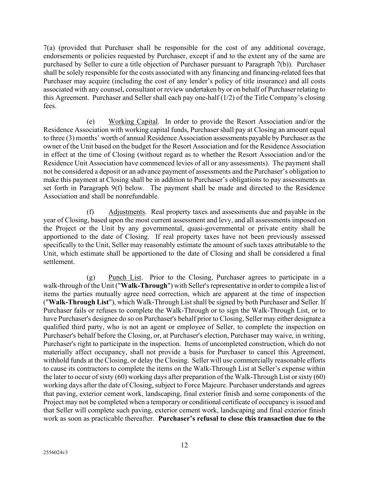[7\(a\)](#page-6-0) (provided that Purchaser shall be responsible for the cost of any additional coverage, endorsements or policies requested by Purchaser, except if and to the extent any of the same are purchased by Seller to cure a title objection of Purchaser pursuant to Paragraph 7(b)). Purchaser shall be solely responsible for the costs associated with any financing and financing-related feesthat Purchaser may acquire (including the cost of any lender's policy of title insurance) and all costs associated with any counsel, consultant or review undertaken by or on behalf of Purchaser relating to this Agreement. Purchaser and Seller shall each pay one-half (1/2) of the Title Company's closing fees.

(e) Working Capital. In order to provide the Resort Association and/or the Residence Association with working capital funds, Purchaser shall pay at Closing an amount equal to three (3) months' worth of annual Residence Association assessments payable by Purchaser as the owner of the Unit based on the budget for the Resort Association and for the Residence Association in effect at the time of Closing (without regard as to whether the Resort Association and/or the Residence Unit Association have commenced levies of all or any assessments). The payment shall not be considered a deposit or an advance payment of assessments and the Purchaser's obligation to make this payment at Closing shall be in addition to Purchaser's obligations to pay assessments as set forth in Paragraph [9\(f\)](#page-11-1) below. The payment shall be made and directed to the Residence Association and shall be nonrefundable.

<span id="page-11-1"></span><span id="page-11-0"></span>(f) Adjustments. Real property taxes and assessments due and payable in the year of Closing, based upon the most current assessment and levy, and all assessments imposed on the Project or the Unit by any governmental, quasi-governmental or private entity shall be apportioned to the date of Closing. If real property taxes have not been previously assessed specifically to the Unit, Seller may reasonably estimate the amount of such taxes attributable to the Unit, which estimate shall be apportioned to the date of Closing and shall be considered a final settlement.

(g) Punch List. Prior to the Closing, Purchaser agrees to participate in a walk-through of the Unit ("**Walk-Through**") with Seller's representative in order to compile a list of items the parties mutually agree need correction, which are apparent at the time of inspection ("**Walk-Through List**"), which Walk-Through List shall be signed by both Purchaser and Seller. If Purchaser fails or refuses to complete the Walk-Through or to sign the Walk-Through List, or to have Purchaser's designee do so on Purchaser's behalf prior to Closing, Seller may either designate a qualified third party, who is not an agent or employee of Seller, to complete the inspection on Purchaser's behalf before the Closing, or, at Purchaser's election, Purchaser may waive, in writing, Purchaser's right to participate in the inspection. Items of uncompleted construction, which do not materially affect occupancy, shall not provide a basis for Purchaser to cancel this Agreement, withhold funds at the Closing, or delay the Closing. Seller will use commercially reasonable efforts to cause its contractors to complete the items on the Walk-Through List at Seller's expense within the later to occur of sixty (60) working days after preparation of the Walk-Through List or sixty (60) working days after the date of Closing, subject to Force Majeure. Purchaser understands and agrees that paving, exterior cement work, landscaping, final exterior finish and some components of the Project may not be completed when a temporary or conditional certificate of occupancy is issued and that Seller will complete such paving, exterior cement work, landscaping and final exterior finish work as soon as practicable thereafter. **Purchaser's refusal to close this transaction due to the**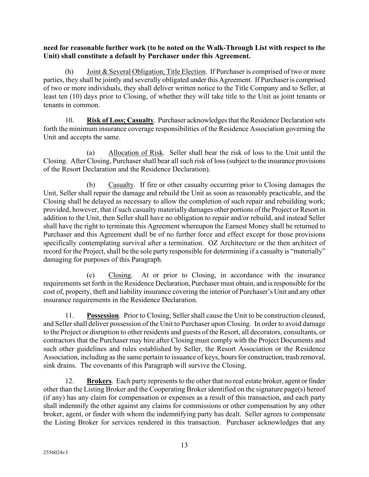**need for reasonable further work (to be noted on the Walk-Through List with respect to the Unit) shall constitute a default by Purchaser under this Agreement.** 

(h) Joint & Several Obligation; Title Election. If Purchaser is comprised of two or more parties, they shall be jointly and severally obligated under this Agreement. If Purchaser is comprised of two or more individuals, they shall deliver written notice to the Title Company and to Seller, at least ten (10) days prior to Closing, of whether they will take title to the Unit as joint tenants or tenants in common.

10. **Risk of Loss; Casualty**. Purchaser acknowledges that the Residence Declaration sets forth the minimum insurance coverage responsibilities of the Residence Association governing the Unit and accepts the same.

(a) Allocation of Risk. Seller shall bear the risk of loss to the Unit until the Closing. After Closing, Purchaser shall bear all such risk of loss (subject to the insurance provisions of the Resort Declaration and the Residence Declaration).

(b) Casualty. If fire or other casualty occurring prior to Closing damages the Unit, Seller shall repair the damage and rebuild the Unit as soon as reasonably practicable, and the Closing shall be delayed as necessary to allow the completion of such repair and rebuilding work; provided, however, that if such casualty materially damages other portions of the Project or Resort in addition to the Unit, then Seller shall have no obligation to repair and/or rebuild, and instead Seller shall have the right to terminate this Agreement whereupon the Earnest Money shall be returned to Purchaser and this Agreement shall be of no further force and effect except for those provisions specifically contemplating survival after a termination. OZ Architecture or the then architect of record for the Project, shall be the sole party responsible for determining if a casualty is "materially" damaging for purposes of this Paragraph.

(c) Closing. At or prior to Closing, in accordance with the insurance requirements set forth in the Residence Declaration, Purchaser must obtain, and is responsible for the cost of, property, theft and liability insurance covering the interior of Purchaser's Unit and any other insurance requirements in the Residence Declaration.

11. **Possession**. Prior to Closing, Seller shall cause the Unit to be construction cleaned, and Seller shall deliver possession of the Unit to Purchaser upon Closing. In order to avoid damage to the Project or disruption to other residents and guests of the Resort, all decorators, consultants, or contractors that the Purchaser may hire after Closing must comply with the Project Documents and such other guidelines and rules established by Seller, the Resort Association or the Residence Association, including as the same pertain to issuance of keys, hours for construction, trash removal, sink drains. The covenants of this Paragraph will survive the Closing.

12. **Brokers**. Each party represents to the other that no real estate broker, agent or finder other than the Listing Broker and the Cooperating Broker identified on the signature page(s) hereof (if any) has any claim for compensation or expenses as a result of this transaction, and each party shall indemnify the other against any claims for commissions or other compensation by any other broker, agent, or finder with whom the indemnifying party has dealt. Seller agrees to compensate the Listing Broker for services rendered in this transaction. Purchaser acknowledges that any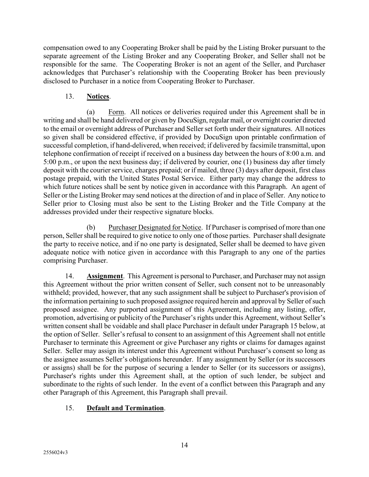compensation owed to any Cooperating Broker shall be paid by the Listing Broker pursuant to the separate agreement of the Listing Broker and any Cooperating Broker, and Seller shall not be responsible for the same. The Cooperating Broker is not an agent of the Seller, and Purchaser acknowledges that Purchaser's relationship with the Cooperating Broker has been previously disclosed to Purchaser in a notice from Cooperating Broker to Purchaser.

### 13. **Notices**.

(a) Form. All notices or deliveries required under this Agreement shall be in writing and shall be hand delivered or given by DocuSign, regular mail, or overnight courier directed to the email or overnight address of Purchaser and Seller set forth under their signatures. All notices so given shall be considered effective, if provided by DocuSign upon printable confirmation of successful completion, if hand-delivered, when received; if delivered by facsimile transmittal, upon telephone confirmation of receipt if received on a business day between the hours of 8:00 a.m. and 5:00 p.m., or upon the next business day; if delivered by courier, one (1) business day after timely deposit with the courier service, charges prepaid; or if mailed, three (3) days after deposit, first class postage prepaid, with the United States Postal Service. Either party may change the address to which future notices shall be sent by notice given in accordance with this Paragraph. An agent of Seller or the Listing Broker may send notices at the direction of and in place of Seller. Any notice to Seller prior to Closing must also be sent to the Listing Broker and the Title Company at the addresses provided under their respective signature blocks.

(b) Purchaser Designated for Notice. If Purchaser is comprised of more than one person, Seller shall be required to give notice to only one of those parties. Purchaser shall designate the party to receive notice, and if no one party is designated, Seller shall be deemed to have given adequate notice with notice given in accordance with this Paragraph to any one of the parties comprising Purchaser.

14. **Assignment**. This Agreement is personal to Purchaser, and Purchaser may not assign this Agreement without the prior written consent of Seller, such consent not to be unreasonably withheld; provided, however, that any such assignment shall be subject to Purchaser's provision of the information pertaining to such proposed assignee required herein and approval by Seller of such proposed assignee. Any purported assignment of this Agreement, including any listing, offer, promotion, advertising or publicity of the Purchaser's rights under this Agreement, without Seller's written consent shall be voidable and shall place Purchaser in default under Paragraph 15 below, at the option of Seller. Seller's refusal to consent to an assignment of this Agreement shall not entitle Purchaser to terminate this Agreement or give Purchaser any rights or claims for damages against Seller. Seller may assign its interest under this Agreement without Purchaser's consent so long as the assignee assumes Seller's obligations hereunder. If any assignment by Seller (or its successors or assigns) shall be for the purpose of securing a lender to Seller (or its successors or assigns), Purchaser's rights under this Agreement shall, at the option of such lender, be subject and subordinate to the rights of such lender. In the event of a conflict between this Paragraph and any other Paragraph of this Agreement, this Paragraph shall prevail.

### 15. **Default and Termination**.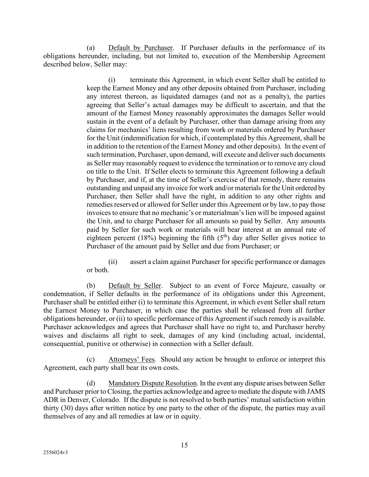(a) Default by Purchaser. If Purchaser defaults in the performance of its obligations hereunder, including, but not limited to, execution of the Membership Agreement described below, Seller may:

> (i) terminate this Agreement, in which event Seller shall be entitled to keep the Earnest Money and any other deposits obtained from Purchaser, including any interest thereon, as liquidated damages (and not as a penalty), the parties agreeing that Seller's actual damages may be difficult to ascertain, and that the amount of the Earnest Money reasonably approximates the damages Seller would sustain in the event of a default by Purchaser, other than damage arising from any claims for mechanics' liens resulting from work or materials ordered by Purchaser for the Unit (indemnification for which, if contemplated by this Agreement, shall be in addition to the retention of the Earnest Money and other deposits). In the event of such termination, Purchaser, upon demand, will execute and deliver such documents as Seller may reasonably request to evidence the termination or to remove any cloud on title to the Unit. If Seller elects to terminate this Agreement following a default by Purchaser, and if, at the time of Seller's exercise of that remedy, there remains outstanding and unpaid any invoice for work and/or materials for the Unit ordered by Purchaser, then Seller shall have the right, in addition to any other rights and remedies reserved or allowed for Seller under this Agreement or by law, to pay those invoices to ensure that no mechanic's or materialman's lien will be imposed against the Unit, and to charge Purchaser for all amounts so paid by Seller. Any amounts paid by Seller for such work or materials will bear interest at an annual rate of eighteen percent (18%) beginning the fifth ( $5<sup>th</sup>$ ) day after Seller gives notice to Purchaser of the amount paid by Seller and due from Purchaser; or

> (ii) assert a claim against Purchaser for specific performance or damages or both.

(b) Default by Seller. Subject to an event of Force Majeure, casualty or condemnation, if Seller defaults in the performance of its obligations under this Agreement, Purchaser shall be entitled either (i) to terminate this Agreement, in which event Seller shall return the Earnest Money to Purchaser, in which case the parties shall be released from all further obligations hereunder, or (ii) to specific performance of this Agreement if such remedy is available. Purchaser acknowledges and agrees that Purchaser shall have no right to, and Purchaser hereby waives and disclaims all right to seek, damages of any kind (including actual, incidental, consequential, punitive or otherwise) in connection with a Seller default.

(c) Attorneys' Fees. Should any action be brought to enforce or interpret this Agreement, each party shall bear its own costs.

(d) Mandatory Dispute Resolution. In the event any dispute arises between Seller and Purchaser prior to Closing, the parties acknowledge and agree to mediate the dispute with JAMS ADR in Denver, Colorado. If the dispute is not resolved to both parties' mutual satisfaction within thirty (30) days after written notice by one party to the other of the dispute, the parties may avail themselves of any and all remedies at law or in equity.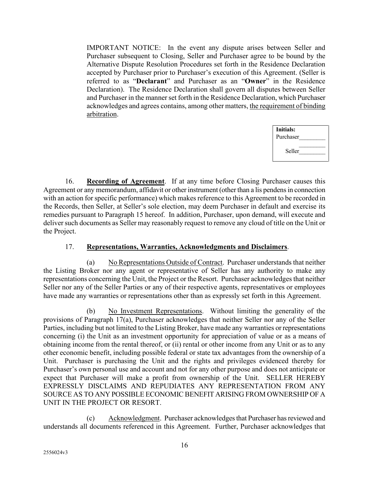IMPORTANT NOTICE: In the event any dispute arises between Seller and Purchaser subsequent to Closing, Seller and Purchaser agree to be bound by the Alternative Dispute Resolution Procedures set forth in the Residence Declaration accepted by Purchaser prior to Purchaser's execution of this Agreement. (Seller is referred to as "**Declarant**" and Purchaser as an "**Owner**" in the Residence Declaration). The Residence Declaration shall govern all disputes between Seller and Purchaser in the manner set forth in the Residence Declaration, which Purchaser acknowledges and agrees contains, among other matters, the requirement of binding arbitration.

| Initials: |  |
|-----------|--|
| Purchaser |  |
| Seller    |  |

16. **Recording of Agreement**. If at any time before Closing Purchaser causes this Agreement or any memorandum, affidavit or other instrument (other than a lis pendens in connection with an action for specific performance) which makes reference to this Agreement to be recorded in the Records, then Seller, at Seller's sole election, may deem Purchaser in default and exercise its remedies pursuant to Paragraph 15 hereof. In addition, Purchaser, upon demand, will execute and deliver such documents as Seller may reasonably request to remove any cloud of title on the Unit or the Project.

### 17. **Representations, Warranties, Acknowledgments and Disclaimers**.

<span id="page-15-0"></span>(a) No Representations Outside of Contract. Purchaser understands that neither the Listing Broker nor any agent or representative of Seller has any authority to make any representations concerning the Unit, the Project or the Resort. Purchaser acknowledges that neither Seller nor any of the Seller Parties or any of their respective agents, representatives or employees have made any warranties or representations other than as expressly set forth in this Agreement.

(b) No Investment Representations. Without limiting the generality of the provisions of Paragraph 17(a), Purchaser acknowledges that neither Seller nor any of the Seller Parties, including but not limited to the Listing Broker, have made any warranties or representations concerning (i) the Unit as an investment opportunity for appreciation of value or as a means of obtaining income from the rental thereof, or (ii) rental or other income from any Unit or as to any other economic benefit, including possible federal or state tax advantages from the ownership of a Unit. Purchaser is purchasing the Unit and the rights and privileges evidenced thereby for Purchaser's own personal use and account and not for any other purpose and does not anticipate or expect that Purchaser will make a profit from ownership of the Unit. SELLER HEREBY EXPRESSLY DISCLAIMS AND REPUDIATES ANY REPRESENTATION FROM ANY SOURCE AS TO ANY POSSIBLE ECONOMIC BENEFIT ARISING FROM OWNERSHIP OF A UNIT IN THE PROJECT OR RESORT.

(c) Acknowledgment. Purchaser acknowledges that Purchaser has reviewed and understands all documents referenced in this Agreement. Further, Purchaser acknowledges that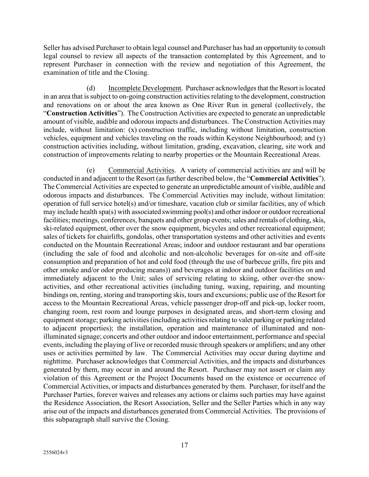Seller has advised Purchaser to obtain legal counsel and Purchaser has had an opportunity to consult legal counsel to review all aspects of the transaction contemplated by this Agreement, and to represent Purchaser in connection with the review and negotiation of this Agreement, the examination of title and the Closing.

(d) Incomplete Development. Purchaser acknowledges that the Resort is located in an area that is subject to on-going construction activities relating to the development, construction and renovations on or about the area known as One River Run in general (collectively, the "**Construction Activities**"). The Construction Activities are expected to generate an unpredictable amount of visible, audible and odorous impacts and disturbances. The Construction Activities may include, without limitation: (x) construction traffic, including without limitation, construction vehicles, equipment and vehicles traveling on the roads within Keystone Neighbourhood; and (y) construction activities including, without limitation, grading, excavation, clearing, site work and construction of improvements relating to nearby properties or the Mountain Recreational Areas.

(e) Commercial Activities. A variety of commercial activities are and will be conducted in and adjacent to the Resort (as further described below, the "**Commercial Activities**"). The Commercial Activities are expected to generate an unpredictable amount of visible, audible and odorous impacts and disturbances. The Commercial Activities may include, without limitation: operation of full service hotel(s) and/or timeshare, vacation club or similar facilities, any of which may include health spa(s) with associated swimming pool(s) and other indoor or outdoor recreational facilities; meetings, conferences, banquets and other group events; sales and rentals of clothing, skis, ski-related equipment, other over the snow equipment, bicycles and other recreational equipment; sales of tickets for chairlifts, gondolas, other transportation systems and other activities and events conducted on the Mountain Recreational Areas; indoor and outdoor restaurant and bar operations (including the sale of food and alcoholic and non-alcoholic beverages for on-site and off-site consumption and preparation of hot and cold food (through the use of barbecue grills, fire pits and other smoke and/or odor producing means)) and beverages at indoor and outdoor facilities on and immediately adjacent to the Unit; sales of servicing relating to skiing, other over-the snowactivities, and other recreational activities (including tuning, waxing, repairing, and mounting bindings on, renting, storing and transporting skis, tours and excursions; public use of the Resort for access to the Mountain Recreational Areas, vehicle passenger drop-off and pick-up, locker room, changing room, rest room and lounge purposes in designated areas, and short-term closing and equipment storage; parking activities (including activities relating to valet parking or parking related to adjacent properties); the installation, operation and maintenance of illuminated and nonilluminated signage; concerts and other outdoor and indoor entertainment, performance and special events, including the playing of live or recorded music through speakers or amplifiers; and any other uses or activities permitted by law. The Commercial Activities may occur during daytime and nighttime. Purchaser acknowledges that Commercial Activities, and the impacts and disturbances generated by them, may occur in and around the Resort. Purchaser may not assert or claim any violation of this Agreement or the Project Documents based on the existence or occurrence of Commercial Activities, or impacts and disturbances generated by them. Purchaser, for itself and the Purchaser Parties, forever waives and releases any actions or claims such parties may have against the Residence Association, the Resort Association, Seller and the Seller Parties which in any way arise out of the impacts and disturbances generated from Commercial Activities. The provisions of this subparagraph shall survive the Closing.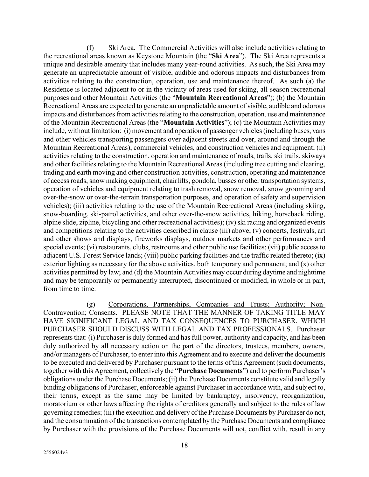(f) Ski Area. The Commercial Activities will also include activities relating to the recreational areas known as Keystone Mountain (the "**Ski Area**"). The Ski Area represents a unique and desirable amenity that includes many year-round activities. As such, the Ski Area may generate an unpredictable amount of visible, audible and odorous impacts and disturbances from activities relating to the construction, operation, use and maintenance thereof. As such (a) the Residence is located adjacent to or in the vicinity of areas used for skiing, all-season recreational purposes and other Mountain Activities (the "**Mountain Recreational Areas**"); (b) the Mountain Recreational Areas are expected to generate an unpredictable amount of visible, audible and odorous impacts and disturbances from activities relating to the construction, operation, use and maintenance of the Mountain Recreational Areas (the "**Mountain Activities**"); (c) the Mountain Activities may include, without limitation: (i) movement and operation of passenger vehicles (including buses, vans and other vehicles transporting passengers over adjacent streets and over, around and through the Mountain Recreational Areas), commercial vehicles, and construction vehicles and equipment; (ii) activities relating to the construction, operation and maintenance of roads, trails, ski trails, skiways and other facilities relating to the Mountain Recreational Areas (including tree cutting and clearing, trading and earth moving and other construction activities, construction, operating and maintenance of access roads, snow making equipment, chairlifts, gondola, busses or other transportation systems, operation of vehicles and equipment relating to trash removal, snow removal, snow grooming and over-the-snow or over-the-terrain transportation purposes, and operation of safety and supervision vehicles); (iii) activities relating to the use of the Mountain Recreational Areas (including skiing, snow-boarding, ski-patrol activities, and other over-the-snow activities, hiking, horseback riding, alpine slide, zipline, bicycling and other recreational activities); (iv) ski racing and organized events and competitions relating to the activities described in clause (iii) above; (v) concerts, festivals, art and other shows and displays, fireworks displays, outdoor markets and other performances and special events; (vi) restaurants, clubs, restrooms and other public use facilities; (vii) public accessto adjacent U.S. Forest Service lands; (viii) public parking facilities and the traffic related thereto; (ix) exterior lighting as necessary for the above activities, both temporary and permanent; and (x) other activities permitted by law; and (d) the Mountain Activities may occur during daytime and nighttime and may be temporarily or permanently interrupted, discontinued or modified, in whole or in part, from time to time.

(g) Corporations, Partnerships, Companies and Trusts; Authority; Non-Contravention; Consents. PLEASE NOTE THAT THE MANNER OF TAKING TITLE MAY HAVE SIGNIFICANT LEGAL AND TAX CONSEQUENCES TO PURCHASER, WHICH PURCHASER SHOULD DISCUSS WITH LEGAL AND TAX PROFESSIONALS. Purchaser represents that: (i) Purchaser is duly formed and has full power, authority and capacity, and has been duly authorized by all necessary action on the part of the directors, trustees, members, owners, and/or managers of Purchaser, to enter into this Agreement and to execute and deliver the documents to be executed and delivered by Purchaser pursuant to the terms of this Agreement (such documents, together with this Agreement, collectively the "**Purchase Documents**") and to perform Purchaser's obligations under the Purchase Documents; (ii) the Purchase Documents constitute valid and legally binding obligations of Purchaser, enforceable against Purchaser in accordance with, and subject to, their terms, except as the same may be limited by bankruptcy, insolvency, reorganization, moratorium or other laws affecting the rights of creditors generally and subject to the rules of law governing remedies; (iii) the execution and delivery of the Purchase Documents by Purchaser do not, and the consummation of the transactions contemplated by the Purchase Documents and compliance by Purchaser with the provisions of the Purchase Documents will not, conflict with, result in any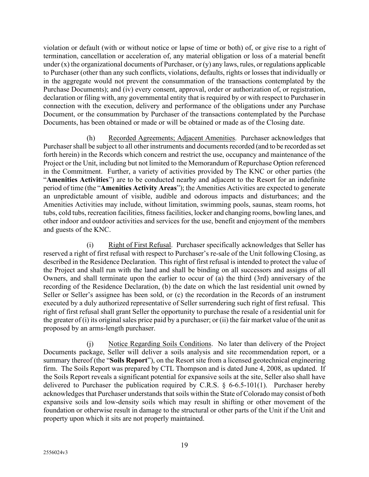violation or default (with or without notice or lapse of time or both) of, or give rise to a right of termination, cancellation or acceleration of, any material obligation or loss of a material benefit under  $(x)$  the organizational documents of Purchaser, or  $(y)$  any laws, rules, or regulations applicable to Purchaser (other than any such conflicts, violations, defaults, rights or losses that individually or in the aggregate would not prevent the consummation of the transactions contemplated by the Purchase Documents); and (iv) every consent, approval, order or authorization of, or registration, declaration or filing with, any governmental entity that is required by or with respect to Purchaser in connection with the execution, delivery and performance of the obligations under any Purchase Document, or the consummation by Purchaser of the transactions contemplated by the Purchase Documents, has been obtained or made or will be obtained or made as of the Closing date.

(h) Recorded Agreements; Adjacent Amenities. Purchaser acknowledges that Purchaser shall be subject to all other instruments and documents recorded (and to be recorded as set forth herein) in the Records which concern and restrict the use, occupancy and maintenance of the Project or the Unit, including but not limited to the Memorandum of Repurchase Option referenced in the Commitment. Further, a variety of activities provided by The KNC or other parties (the "**Amenities Activities**") are to be conducted nearby and adjacent to the Resort for an indefinite period of time (the "**Amenities Activity Areas**"); the Amenities Activities are expected to generate an unpredictable amount of visible, audible and odorous impacts and disturbances; and the Amenities Activities may include, without limitation, swimming pools, saunas, steam rooms, hot tubs, cold tubs, recreation facilities, fitness facilities, locker and changing rooms, bowling lanes, and other indoor and outdoor activities and services for the use, benefit and enjoyment of the members and guests of the KNC.

(i) Right of First Refusal. Purchaser specifically acknowledges that Seller has reserved a right of first refusal with respect to Purchaser's re-sale of the Unit following Closing, as described in the Residence Declaration. This right of first refusal is intended to protect the value of the Project and shall run with the land and shall be binding on all successors and assigns of all Owners, and shall terminate upon the earlier to occur of (a) the third (3rd) anniversary of the recording of the Residence Declaration, (b) the date on which the last residential unit owned by Seller or Seller's assignee has been sold, or (c) the recordation in the Records of an instrument executed by a duly authorized representative of Seller surrendering such right of first refusal. This right of first refusal shall grant Seller the opportunity to purchase the resale of a residential unit for the greater of (i) its original sales price paid by a purchaser; or (ii) the fair market value of the unit as proposed by an arms-length purchaser.

(j) Notice Regarding Soils Conditions. No later than delivery of the Project Documents package, Seller will deliver a soils analysis and site recommendation report, or a summary thereof (the "**Soils Report**"), on the Resort site from a licensed geotechnical engineering firm. The Soils Report was prepared by CTL Thompson and is dated June 4, 2008, as updated. If the Soils Report reveals a significant potential for expansive soils at the site, Seller also shall have delivered to Purchaser the publication required by C.R.S.  $\S$  6-6.5-101(1). Purchaser hereby acknowledges that Purchaser understands that soils within the State of Colorado may consist of both expansive soils and low-density soils which may result in shifting or other movement of the foundation or otherwise result in damage to the structural or other parts of the Unit if the Unit and property upon which it sits are not properly maintained.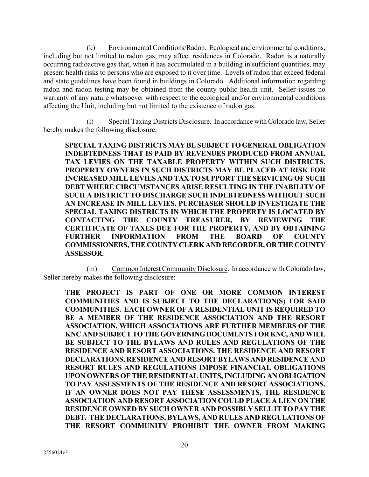(k) Environmental Conditions/Radon. Ecological and environmental conditions, including but not limited to radon gas, may affect residences in Colorado. Radon is a naturally occurring radioactive gas that, when it has accumulated in a building in sufficient quantities, may present health risks to persons who are exposed to it over time. Levels of radon that exceed federal and state guidelines have been found in buildings in Colorado. Additional information regarding radon and radon testing may be obtained from the county public health unit. Seller issues no warranty of any nature whatsoever with respect to the ecological and/or environmental conditions affecting the Unit, including but not limited to the existence of radon gas.

(l) Special Taxing Districts Disclosure. In accordance with Colorado law, Seller hereby makes the following disclosure:

**SPECIAL TAXING DISTRICTS MAY BE SUBJECT TO GENERAL OBLIGATION INDEBTEDNESS THAT IS PAID BY REVENUES PRODUCED FROM ANNUAL TAX LEVIES ON THE TAXABLE PROPERTY WITHIN SUCH DISTRICTS. PROPERTY OWNERS IN SUCH DISTRICTS MAY BE PLACED AT RISK FOR INCREASED MILL LEVIES AND TAX TO SUPPORT THE SERVICING OF SUCH DEBT WHERE CIRCUMSTANCES ARISE RESULTING IN THE INABILITY OF SUCH A DISTRICT TO DISCHARGE SUCH INDEBTEDNESS WITHOUT SUCH AN INCREASE IN MILL LEVIES. PURCHASER SHOULD INVESTIGATE THE SPECIAL TAXING DISTRICTS IN WHICH THE PROPERTY IS LOCATED BY CONTACTING THE COUNTY TREASURER, BY REVIEWING THE CERTIFICATE OF TAXES DUE FOR THE PROPERTY, AND BY OBTAINING FURTHER INFORMATION FROM THE BOARD OF COUNTY COMMISSIONERS, THE COUNTY CLERK AND RECORDER, OR THE COUNTY ASSESSOR.**

(m) Common Interest Community Disclosure.In accordance with Colorado law, Seller hereby makes the following disclosure:

**THE PROJECT IS PART OF ONE OR MORE COMMON INTEREST COMMUNITIES AND IS SUBJECT TO THE DECLARATION(S) FOR SAID COMMUNITIES. EACH OWNER OF A RESIDENTIAL UNIT IS REQUIRED TO BE A MEMBER OF THE RESIDENCE ASSOCIATION AND THE RESORT ASSOCIATION, WHICH ASSOCIATIONS ARE FURTHER MEMBERS OF THE KNC AND SUBJECT TO THE GOVERNING DOCUMENTS FOR KNC, AND WILL BE SUBJECT TO THE BYLAWS AND RULES AND REGULATIONS OF THE RESIDENCE AND RESORT ASSOCIATIONS. THE RESIDENCE AND RESORT DECLARATIONS, RESIDENCE AND RESORT BYLAWS AND RESIDENCE AND RESORT RULES AND REGULATIONS IMPOSE FINANCIAL OBLIGATIONS UPON OWNERS OF THE RESIDENTIAL UNITS, INCLUDING AN OBLIGATION TO PAY ASSESSMENTS OF THE RESIDENCE AND RESORT ASSOCIATIONS. IF AN OWNER DOES NOT PAY THESE ASSESSMENTS, THE RESIDENCE ASSOCIATION AND RESORT ASSOCIATION COULD PLACE A LIEN ON THE RESIDENCE OWNED BY SUCH OWNER AND POSSIBLY SELL IT TO PAY THE DEBT. THE DECLARATIONS, BYLAWS, AND RULES AND REGULATIONS OF THE RESORT COMMUNITY PROHIBIT THE OWNER FROM MAKING**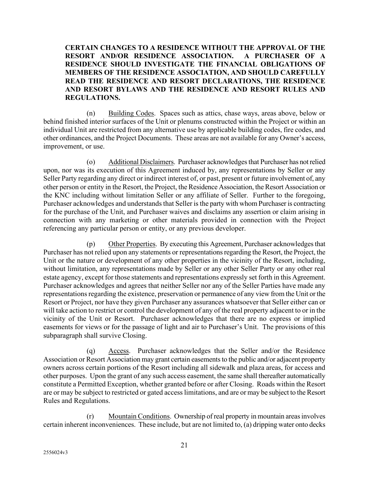**CERTAIN CHANGES TO A RESIDENCE WITHOUT THE APPROVAL OF THE RESORT AND/OR RESIDENCE ASSOCIATION. A PURCHASER OF A RESIDENCE SHOULD INVESTIGATE THE FINANCIAL OBLIGATIONS OF MEMBERS OF THE RESIDENCE ASSOCIATION, AND SHOULD CAREFULLY READ THE RESIDENCE AND RESORT DECLARATIONS, THE RESIDENCE AND RESORT BYLAWS AND THE RESIDENCE AND RESORT RULES AND REGULATIONS.**

(n) Building Codes. Spaces such as attics, chase ways, areas above, below or behind finished interior surfaces of the Unit or plenums constructed within the Project or within an individual Unit are restricted from any alternative use by applicable building codes, fire codes, and other ordinances, and the Project Documents. These areas are not available for any Owner's access, improvement, or use.

(o) Additional Disclaimers. Purchaser acknowledges that Purchaser has not relied upon, nor was its execution of this Agreement induced by, any representations by Seller or any Seller Party regarding any direct or indirect interest of, or past, present or future involvement of, any other person or entity in the Resort, the Project, the Residence Association, the Resort Association or the KNC including without limitation Seller or any affiliate of Seller. Further to the foregoing, Purchaser acknowledges and understands that Seller is the party with whom Purchaser is contracting for the purchase of the Unit, and Purchaser waives and disclaims any assertion or claim arising in connection with any marketing or other materials provided in connection with the Project referencing any particular person or entity, or any previous developer.

(p) Other Properties. By executing this Agreement, Purchaser acknowledges that Purchaser has not relied upon any statements or representations regarding the Resort, the Project, the Unit or the nature or development of any other properties in the vicinity of the Resort, including, without limitation, any representations made by Seller or any other Seller Party or any other real estate agency, except for those statements and representations expressly set forth in this Agreement. Purchaser acknowledges and agrees that neither Seller nor any of the Seller Parties have made any representations regarding the existence, preservation or permanence of any view from the Unit or the Resort or Project, nor have they given Purchaser any assurances whatsoever that Seller either can or will take action to restrict or control the development of any of the real property adjacent to or in the vicinity of the Unit or Resort. Purchaser acknowledges that there are no express or implied easements for views or for the passage of light and air to Purchaser's Unit. The provisions of this subparagraph shall survive Closing.

(q) Access. Purchaser acknowledges that the Seller and/or the Residence Association or Resort Association may grant certain easements to the public and/or adjacent property owners across certain portions of the Resort including all sidewalk and plaza areas, for access and other purposes. Upon the grant of any such access easement, the same shall thereafter automatically constitute a Permitted Exception, whether granted before or after Closing. Roads within the Resort are or may be subject to restricted or gated access limitations, and are or may be subject to the Resort Rules and Regulations.

(r) Mountain Conditions. Ownership of real property in mountain areas involves certain inherent inconveniences. These include, but are not limited to, (a) dripping water onto decks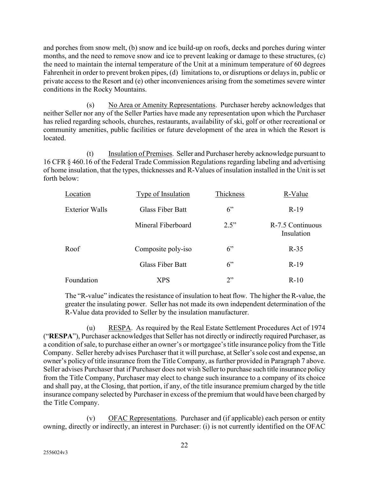and porches from snow melt, (b) snow and ice build-up on roofs, decks and porches during winter months, and the need to remove snow and ice to prevent leaking or damage to these structures, (c) the need to maintain the internal temperature of the Unit at a minimum temperature of 60 degrees Fahrenheit in order to prevent broken pipes, (d) limitations to, or disruptions or delays in, public or private access to the Resort and (e) other inconveniences arising from the sometimes severe winter conditions in the Rocky Mountains.

(s) No Area or Amenity Representations. Purchaser hereby acknowledges that neither Seller nor any of the Seller Parties have made any representation upon which the Purchaser has relied regarding schools, churches, restaurants, availability of ski, golf or other recreational or community amenities, public facilities or future development of the area in which the Resort is located.

(t) Insulation of Premises. Seller and Purchaser hereby acknowledge pursuant to 16 CFR § 460.16 of the Federal Trade Commission Regulations regarding labeling and advertising of home insulation, that the types, thicknesses and R-Values of insulation installed in the Unit is set forth below:

| Location              | <b>Type of Insulation</b> | Thickness | R-Value                        |
|-----------------------|---------------------------|-----------|--------------------------------|
| <b>Exterior Walls</b> | <b>Glass Fiber Batt</b>   | 6"        | $R-19$                         |
|                       | Mineral Fiberboard        | 2.5"      | R-7.5 Continuous<br>Insulation |
| Roof                  | Composite poly-iso        | 6"        | $R-35$                         |
|                       | <b>Glass Fiber Batt</b>   | 6"        | $R-19$                         |
| Foundation            | XPS                       | 2"        | $R-10$                         |

The "R-value" indicates the resistance of insulation to heat flow. The higher the R-value, the greater the insulating power. Seller has not made its own independent determination of the R-Value data provided to Seller by the insulation manufacturer.

(u) RESPA. As required by the Real Estate Settlement Procedures Act of 1974 ("RESPA"), Purchaser acknowledges that Seller has not directly or indirectly required Purchaser, as a condition of sale, to purchase either an owner's or mortgagee's title insurance policy from the Title Company. Seller hereby advises Purchaser that it will purchase, at Seller's sole cost and expense, an owner's policy of title insurance from the Title Company, as further provided in Paragraph 7 above. Seller advises Purchaser that if Purchaser does not wish Seller to purchase such title insurance policy from the Title Company, Purchaser may elect to change such insurance to a company of its choice and shall pay, at the Closing, that portion, if any, of the title insurance premium charged by the title insurance company selected by Purchaser in excess of the premium that would have been charged by the Title Company.

(v) OFAC Representations. Purchaser and (if applicable) each person or entity owning, directly or indirectly, an interest in Purchaser: (i) is not currently identified on the OFAC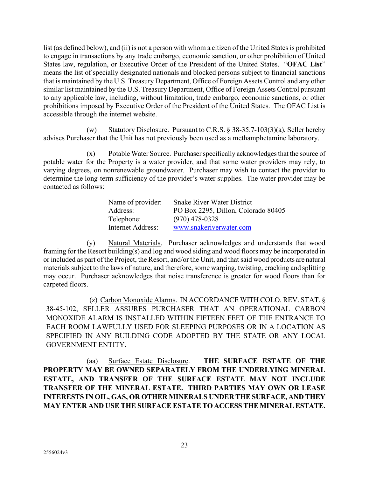list (as defined below), and (ii) is not a person with whom a citizen of the United States is prohibited to engage in transactions by any trade embargo, economic sanction, or other prohibition of United States law, regulation, or Executive Order of the President of the United States. "**OFAC List**" means the list of specially designated nationals and blocked persons subject to financial sanctions that is maintained by the U.S. Treasury Department, Office of Foreign Assets Control and any other similar list maintained by the U.S. Treasury Department, Office of Foreign Assets Control pursuant to any applicable law, including, without limitation, trade embargo, economic sanctions, or other prohibitions imposed by Executive Order of the President of the United States. The OFAC List is accessible through the internet website.

(w) Statutory Disclosure. Pursuant to C.R.S.  $\frac{8}{38-35.7-103(3)(a)}$ , Seller hereby advises Purchaser that the Unit has not previously been used as a methamphetamine laboratory.

(x) Potable Water Source. Purchaser specifically acknowledges that the source of potable water for the Property is a water provider, and that some water providers may rely, to varying degrees, on nonrenewable groundwater. Purchaser may wish to contact the provider to determine the long-term sufficiency of the provider's water supplies. The water provider may be contacted as follows:

| Name of provider:<br>Address: | <b>Snake River Water District</b><br>PO Box 2295, Dillon, Colorado 80405 |
|-------------------------------|--------------------------------------------------------------------------|
| Telephone:                    | $(970)$ 478-0328                                                         |
| Internet Address:             | www.snakeriverwater.com                                                  |

(y) Natural Materials. Purchaser acknowledges and understands that wood framing for the Resort building(s) and log and wood siding and wood floors may be incorporated in or included as part of the Project, the Resort, and/or the Unit, and that said wood products are natural materials subject to the laws of nature, and therefore, some warping, twisting, cracking and splitting may occur. Purchaser acknowledges that noise transference is greater for wood floors than for carpeted floors.

(z) Carbon Monoxide Alarms. IN ACCORDANCE WITH COLO. REV. STAT. § 38-45-102, SELLER ASSURES PURCHASER THAT AN OPERATIONAL CARBON MONOXIDE ALARM IS INSTALLED WITHIN FIFTEEN FEET OF THE ENTRANCE TO EACH ROOM LAWFULLY USED FOR SLEEPING PURPOSES OR IN A LOCATION AS SPECIFIED IN ANY BUILDING CODE ADOPTED BY THE STATE OR ANY LOCAL GOVERNMENT ENTITY.

(aa) Surface Estate Disclosure. **THE SURFACE ESTATE OF THE PROPERTY MAY BE OWNED SEPARATELY FROM THE UNDERLYING MINERAL ESTATE, AND TRANSFER OF THE SURFACE ESTATE MAY NOT INCLUDE TRANSFER OF THE MINERAL ESTATE. THIRD PARTIES MAY OWN OR LEASE INTERESTS IN OIL, GAS, OR OTHER MINERALS UNDER THE SURFACE, AND THEY MAY ENTER AND USE THE SURFACE ESTATE TO ACCESS THE MINERAL ESTATE.**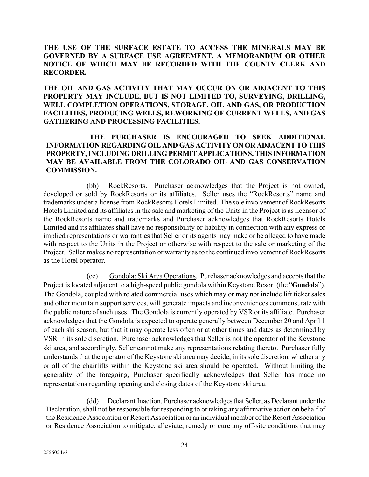#### **THE USE OF THE SURFACE ESTATE TO ACCESS THE MINERALS MAY BE GOVERNED BY A SURFACE USE AGREEMENT, A MEMORANDUM OR OTHER NOTICE OF WHICH MAY BE RECORDED WITH THE COUNTY CLERK AND RECORDER.**

**THE OIL AND GAS ACTIVITY THAT MAY OCCUR ON OR ADJACENT TO THIS PROPERTY MAY INCLUDE, BUT IS NOT LIMITED TO, SURVEYING, DRILLING, WELL COMPLETION OPERATIONS, STORAGE, OIL AND GAS, OR PRODUCTION FACILITIES, PRODUCING WELLS, REWORKING OF CURRENT WELLS, AND GAS GATHERING AND PROCESSING FACILITIES.** 

#### **THE PURCHASER IS ENCOURAGED TO SEEK ADDITIONAL INFORMATION REGARDING OIL AND GAS ACTIVITY ON OR ADJACENT TO THIS PROPERTY, INCLUDING DRILLING PERMIT APPLICATIONS. THIS INFORMATION MAY BE AVAILABLE FROM THE COLORADO OIL AND GAS CONSERVATION COMMISSION.**

(bb) RockResorts. Purchaser acknowledges that the Project is not owned, developed or sold by RockResorts or its affiliates. Seller uses the "RockResorts" name and trademarks under a license from RockResorts Hotels Limited. The sole involvement of RockResorts Hotels Limited and its affiliates in the sale and marketing of the Units in the Project is as licensor of the RockResorts name and trademarks and Purchaser acknowledges that RockResorts Hotels Limited and its affiliates shall have no responsibility or liability in connection with any express or implied representations or warranties that Seller or its agents may make or be alleged to have made with respect to the Units in the Project or otherwise with respect to the sale or marketing of the Project. Seller makes no representation or warranty as to the continued involvement of RockResorts as the Hotel operator.

(cc) Gondola; Ski Area Operations. Purchaser acknowledges and accepts that the Project is located adjacent to a high-speed public gondola within Keystone Resort (the "**Gondola**"). The Gondola, coupled with related commercial uses which may or may not include lift ticket sales and other mountain support services, will generate impacts and inconveniences commensurate with the public nature of such uses. The Gondola is currently operated by VSR or its affiliate. Purchaser acknowledges that the Gondola is expected to operate generally between December 20 and April 1 of each ski season, but that it may operate less often or at other times and dates as determined by VSR in its sole discretion. Purchaser acknowledges that Seller is not the operator of the Keystone ski area, and accordingly, Seller cannot make any representations relating thereto. Purchaser fully understands that the operator of the Keystone ski area may decide, in its sole discretion, whether any or all of the chairlifts within the Keystone ski area should be operated. Without limiting the generality of the foregoing, Purchaser specifically acknowledges that Seller has made no representations regarding opening and closing dates of the Keystone ski area.

(dd) Declarant Inaction. Purchaser acknowledges that Seller, as Declarant under the Declaration, shall not be responsible for responding to or taking any affirmative action on behalf of the Residence Association or Resort Association or an individual member of the Resort Association or Residence Association to mitigate, alleviate, remedy or cure any off-site conditions that may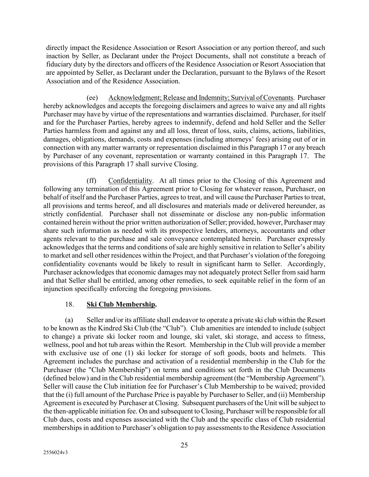directly impact the Residence Association or Resort Association or any portion thereof, and such inaction by Seller, as Declarant under the Project Documents, shall not constitute a breach of fiduciary duty by the directors and officers of the Residence Association or Resort Association that are appointed by Seller, as Declarant under the Declaration, pursuant to the Bylaws of the Resort Association and of the Residence Association.

(ee) Acknowledgment; Release and Indemnity; Survival of Covenants. Purchaser hereby acknowledges and accepts the foregoing disclaimers and agrees to waive any and all rights Purchaser may have by virtue of the representations and warranties disclaimed. Purchaser, for itself and for the Purchaser Parties, hereby agrees to indemnify, defend and hold Seller and the Seller Parties harmless from and against any and all loss, threat of loss, suits, claims, actions, liabilities, damages, obligations, demands, costs and expenses (including attorneys' fees) arising out of or in connection with any matter warranty or representation disclaimed in this Paragraph [17](#page-15-0) or any breach by Purchaser of any covenant, representation or warranty contained in this Paragraph [17.](#page-15-0) The provisions of this Paragraph [17](#page-15-0) shall survive Closing.

(ff) Confidentiality. At all times prior to the Closing of this Agreement and following any termination of this Agreement prior to Closing for whatever reason, Purchaser, on behalf of itself and the Purchaser Parties, agrees to treat, and will cause the Purchaser Parties to treat, all provisions and terms hereof, and all disclosures and materials made or delivered hereunder, as strictly confidential. Purchaser shall not disseminate or disclose any non-public information contained herein without the prior written authorization of Seller; provided, however, Purchaser may share such information as needed with its prospective lenders, attorneys, accountants and other agents relevant to the purchase and sale conveyance contemplated herein. Purchaser expressly acknowledges that the terms and conditions of sale are highly sensitive in relation to Seller's ability to market and sell other residences within the Project, and that Purchaser's violation of the foregoing confidentiality covenants would be likely to result in significant harm to Seller. Accordingly, Purchaser acknowledges that economic damages may not adequately protect Seller from said harm and that Seller shall be entitled, among other remedies, to seek equitable relief in the form of an injunction specifically enforcing the foregoing provisions.

### 18. **Ski Club Membership.**

(a) Seller and/or its affiliate shall endeavor to operate a private ski club within the Resort to be known as the Kindred Ski Club (the "Club"). Club amenities are intended to include (subject to change) a private ski locker room and lounge, ski valet, ski storage, and access to fitness, wellness, pool and hot tub areas within the Resort. Membership in the Club will provide a member with exclusive use of one (1) ski locker for storage of soft goods, boots and helmets. This Agreement includes the purchase and activation of a residential membership in the Club for the Purchaser (the "Club Membership") on terms and conditions set forth in the Club Documents (defined below) and in the Club residential membership agreement (the "Membership Agreement"). Seller will cause the Club initiation fee for Purchaser's Club Membership to be waived; provided that the (i) full amount of the Purchase Price is payable by Purchaser to Seller, and (ii) Membership Agreement is executed by Purchaser at Closing. Subsequent purchasers of the Unit will be subject to the then-applicable initiation fee. On and subsequent to Closing, Purchaser will be responsible for all Club dues, costs and expenses associated with the Club and the specific class of Club residential memberships in addition to Purchaser's obligation to pay assessments to the Residence Association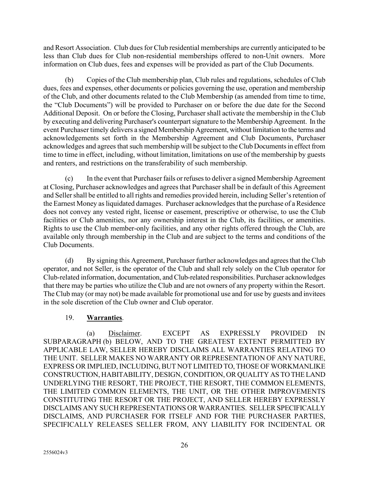and Resort Association. Club dues for Club residential memberships are currently anticipated to be less than Club dues for Club non-residential memberships offered to non-Unit owners. More information on Club dues, fees and expenses will be provided as part of the Club Documents.

(b) Copies of the Club membership plan, Club rules and regulations, schedules of Club dues, fees and expenses, other documents or policies governing the use, operation and membership of the Club, and other documents related to the Club Membership (as amended from time to time, the "Club Documents") will be provided to Purchaser on or before the due date for the Second Additional Deposit. On or before the Closing, Purchaser shall activate the membership in the Club by executing and delivering Purchaser's counterpart signature to the Membership Agreement. In the event Purchaser timely delivers a signed Membership Agreement, without limitation to the terms and acknowledgements set forth in the Membership Agreement and Club Documents, Purchaser acknowledges and agrees that such membership will be subject to the Club Documents in effect from time to time in effect, including, without limitation, limitations on use of the membership by guests and renters, and restrictions on the transferability of such membership.

(c) In the event that Purchaser fails or refuses to deliver a signed Membership Agreement at Closing, Purchaser acknowledges and agrees that Purchaser shall be in default of this Agreement and Seller shall be entitled to all rights and remedies provided herein, including Seller's retention of the Earnest Money as liquidated damages. Purchaser acknowledges that the purchase of a Residence does not convey any vested right, license or easement, prescriptive or otherwise, to use the Club facilities or Club amenities, nor any ownership interest in the Club, its facilities, or amenities. Rights to use the Club member-only facilities, and any other rights offered through the Club, are available only through membership in the Club and are subject to the terms and conditions of the Club Documents.

(d) By signing this Agreement, Purchaser further acknowledges and agrees that the Club operator, and not Seller, is the operator of the Club and shall rely solely on the Club operator for Club-related information, documentation, and Club-related responsibilities. Purchaser acknowledges that there may be parties who utilize the Club and are not owners of any property within the Resort. The Club may (or may not) be made available for promotional use and for use by guests and invitees in the sole discretion of the Club owner and Club operator.

### 19. **Warranties**.

(a) Disclaimer. EXCEPT AS EXPRESSLY PROVIDED IN SUBPARAGRAPH (b) BELOW, AND TO THE GREATEST EXTENT PERMITTED BY APPLICABLE LAW, SELLER HEREBY DISCLAIMS ALL WARRANTIES RELATING TO THE UNIT. SELLER MAKES NO WARRANTY OR REPRESENTATION OF ANY NATURE, EXPRESS OR IMPLIED, INCLUDING, BUT NOT LIMITED TO, THOSE OF WORKMANLIKE CONSTRUCTION, HABITABILITY, DESIGN, CONDITION, OR QUALITY AS TO THE LAND UNDERLYING THE RESORT, THE PROJECT, THE RESORT, THE COMMON ELEMENTS, THE LIMITED COMMON ELEMENTS, THE UNIT, OR THE OTHER IMPROVEMENTS CONSTITUTING THE RESORT OR THE PROJECT, AND SELLER HEREBY EXPRESSLY DISCLAIMS ANY SUCH REPRESENTATIONS OR WARRANTIES. SELLER SPECIFICALLY DISCLAIMS, AND PURCHASER FOR ITSELF AND FOR THE PURCHASER PARTIES, SPECIFICALLY RELEASES SELLER FROM, ANY LIABILITY FOR INCIDENTAL OR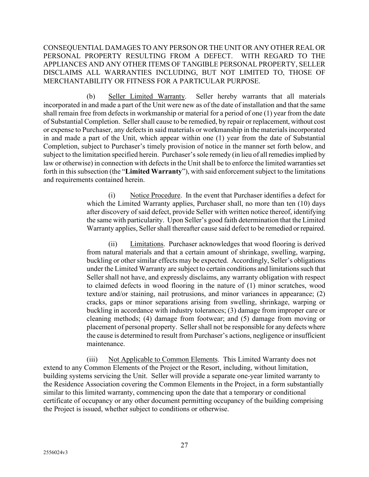CONSEQUENTIAL DAMAGES TO ANY PERSON OR THE UNIT OR ANY OTHER REAL OR PERSONAL PROPERTY RESULTING FROM A DEFECT. WITH REGARD TO THE APPLIANCES AND ANY OTHER ITEMS OF TANGIBLE PERSONAL PROPERTY, SELLER DISCLAIMS ALL WARRANTIES INCLUDING, BUT NOT LIMITED TO, THOSE OF MERCHANTABILITY OR FITNESS FOR A PARTICULAR PURPOSE.

(b) Seller Limited Warranty. Seller hereby warrants that all materials incorporated in and made a part of the Unit were new as of the date of installation and that the same shall remain free from defects in workmanship or material for a period of one (1) year from the date of Substantial Completion. Seller shall cause to be remedied, by repair or replacement, without cost or expense to Purchaser, any defects in said materials or workmanship in the materials incorporated in and made a part of the Unit, which appear within one (1) year from the date of Substantial Completion, subject to Purchaser's timely provision of notice in the manner set forth below, and subject to the limitation specified herein. Purchaser's sole remedy (in lieu of all remedies implied by law or otherwise) in connection with defects in the Unit shall be to enforce the limited warranties set forth in this subsection (the "**Limited Warranty**"), with said enforcement subject to the limitations and requirements contained herein.

> (i) Notice Procedure. In the event that Purchaser identifies a defect for which the Limited Warranty applies, Purchaser shall, no more than ten (10) days after discovery of said defect, provide Seller with written notice thereof, identifying the same with particularity. Upon Seller's good faith determination that the Limited Warranty applies, Seller shall thereafter cause said defect to be remedied or repaired.

> (ii) Limitations. Purchaser acknowledges that wood flooring is derived from natural materials and that a certain amount of shrinkage, swelling, warping, buckling or other similar effects may be expected. Accordingly, Seller's obligations under the Limited Warranty are subject to certain conditions and limitations such that Seller shall not have, and expressly disclaims, any warranty obligation with respect to claimed defects in wood flooring in the nature of (1) minor scratches, wood texture and/or staining, nail protrusions, and minor variances in appearance; (2) cracks, gaps or minor separations arising from swelling, shrinkage, warping or buckling in accordance with industry tolerances; (3) damage from improper care or cleaning methods; (4) damage from footwear; and (5) damage from moving or placement of personal property. Seller shall not be responsible for any defects where the cause is determined to result from Purchaser's actions, negligence or insufficient maintenance.

(iii) Not Applicable to Common Elements. This Limited Warranty does not extend to any Common Elements of the Project or the Resort, including, without limitation, building systems servicing the Unit. Seller will provide a separate one-year limited warranty to the Residence Association covering the Common Elements in the Project, in a form substantially similar to this limited warranty, commencing upon the date that a temporary or conditional certificate of occupancy or any other document permitting occupancy of the building comprising the Project is issued, whether subject to conditions or otherwise.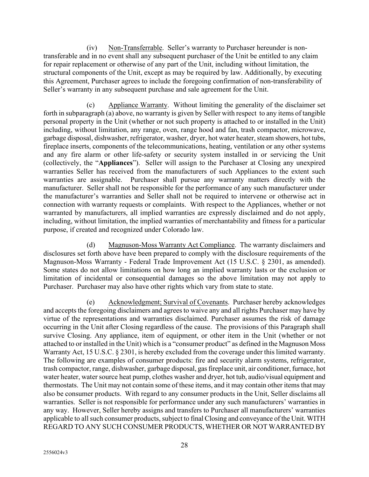(iv) Non-Transferrable. Seller's warranty to Purchaser hereunder is nontransferable and in no event shall any subsequent purchaser of the Unit be entitled to any claim for repair replacement or otherwise of any part of the Unit, including without limitation, the structural components of the Unit, except as may be required by law. Additionally, by executing this Agreement, Purchaser agrees to include the foregoing confirmation of non-transferability of Seller's warranty in any subsequent purchase and sale agreement for the Unit.

(c) Appliance Warranty. Without limiting the generality of the disclaimer set forth in subparagraph (a) above, no warranty is given by Seller with respect to any items of tangible personal property in the Unit (whether or not such property is attached to or installed in the Unit) including, without limitation, any range, oven, range hood and fan, trash compactor, microwave, garbage disposal, dishwasher, refrigerator, washer, dryer, hot water heater, steam showers, hot tubs, fireplace inserts, components of the telecommunications, heating, ventilation or any other systems and any fire alarm or other life-safety or security system installed in or servicing the Unit (collectively, the "**Appliances**"). Seller will assign to the Purchaser at Closing any unexpired warranties Seller has received from the manufacturers of such Appliances to the extent such warranties are assignable. Purchaser shall pursue any warranty matters directly with the manufacturer. Seller shall not be responsible for the performance of any such manufacturer under the manufacturer's warranties and Seller shall not be required to intervene or otherwise act in connection with warranty requests or complaints. With respect to the Appliances, whether or not warranted by manufacturers, all implied warranties are expressly disclaimed and do not apply, including, without limitation, the implied warranties of merchantability and fitness for a particular purpose, if created and recognized under Colorado law.

(d) Magnuson-Moss Warranty Act Compliance. The warranty disclaimers and disclosures set forth above have been prepared to comply with the disclosure requirements of the Magnuson-Moss Warranty - Federal Trade Improvement Act (15 U.S.C. § 2301, as amended). Some states do not allow limitations on how long an implied warranty lasts or the exclusion or limitation of incidental or consequential damages so the above limitation may not apply to Purchaser. Purchaser may also have other rights which vary from state to state.

(e) Acknowledgment; Survival of Covenants. Purchaser hereby acknowledges and accepts the foregoing disclaimers and agrees to waive any and all rights Purchaser may have by virtue of the representations and warranties disclaimed. Purchaser assumes the risk of damage occurring in the Unit after Closing regardless of the cause. The provisions of this Paragraph shall survive Closing. Any appliance, item of equipment, or other item in the Unit (whether or not attached to or installed in the Unit) which is a "consumer product" as defined in the Magnuson Moss Warranty Act, 15 U.S.C. § 2301, is hereby excluded from the coverage under this limited warranty. The following are examples of consumer products: fire and security alarm systems, refrigerator, trash compactor, range, dishwasher, garbage disposal, gas fireplace unit, air conditioner, furnace, hot water heater, water source heat pump, clothes washer and dryer, hot tub, audio/visual equipment and thermostats. The Unit may not contain some of these items, and it may contain other items that may also be consumer products. With regard to any consumer products in the Unit, Seller disclaims all warranties. Seller is not responsible for performance under any such manufacturers' warranties in any way. However, Seller hereby assigns and transfers to Purchaser all manufacturers' warranties applicable to all such consumer products, subject to final Closing and conveyance of the Unit. WITH REGARD TO ANY SUCH CONSUMER PRODUCTS, WHETHER OR NOT WARRANTED BY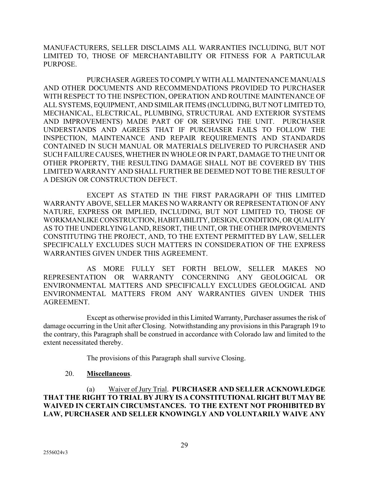MANUFACTURERS, SELLER DISCLAIMS ALL WARRANTIES INCLUDING, BUT NOT LIMITED TO, THOSE OF MERCHANTABILITY OR FITNESS FOR A PARTICULAR PURPOSE.

PURCHASER AGREES TO COMPLY WITH ALL MAINTENANCE MANUALS AND OTHER DOCUMENTS AND RECOMMENDATIONS PROVIDED TO PURCHASER WITH RESPECT TO THE INSPECTION, OPERATION AND ROUTINE MAINTENANCE OF ALL SYSTEMS, EQUIPMENT, AND SIMILAR ITEMS (INCLUDING, BUT NOT LIMITED TO, MECHANICAL, ELECTRICAL, PLUMBING, STRUCTURAL AND EXTERIOR SYSTEMS AND IMPROVEMENTS) MADE PART OF OR SERVING THE UNIT. PURCHASER UNDERSTANDS AND AGREES THAT IF PURCHASER FAILS TO FOLLOW THE INSPECTION, MAINTENANCE AND REPAIR REQUIREMENTS AND STANDARDS CONTAINED IN SUCH MANUAL OR MATERIALS DELIVERED TO PURCHASER AND SUCH FAILURE CAUSES, WHETHER IN WHOLE OR IN PART, DAMAGE TO THE UNIT OR OTHER PROPERTY, THE RESULTING DAMAGE SHALL NOT BE COVERED BY THIS LIMITED WARRANTY AND SHALL FURTHER BE DEEMED NOT TO BE THE RESULT OF A DESIGN OR CONSTRUCTION DEFECT.

EXCEPT AS STATED IN THE FIRST PARAGRAPH OF THIS LIMITED WARRANTY ABOVE, SELLER MAKES NO WARRANTY OR REPRESENTATION OF ANY NATURE, EXPRESS OR IMPLIED, INCLUDING, BUT NOT LIMITED TO, THOSE OF WORKMANLIKE CONSTRUCTION, HABITABILITY, DESIGN, CONDITION, OR QUALITY AS TO THE UNDERLYING LAND, RESORT, THE UNIT, OR THE OTHER IMPROVEMENTS CONSTITUTING THE PROJECT, AND, TO THE EXTENT PERMITTED BY LAW, SELLER SPECIFICALLY EXCLUDES SUCH MATTERS IN CONSIDERATION OF THE EXPRESS WARRANTIES GIVEN UNDER THIS AGREEMENT.

AS MORE FULLY SET FORTH BELOW, SELLER MAKES NO REPRESENTATION OR WARRANTY CONCERNING ANY GEOLOGICAL OR ENVIRONMENTAL MATTERS AND SPECIFICALLY EXCLUDES GEOLOGICAL AND ENVIRONMENTAL MATTERS FROM ANY WARRANTIES GIVEN UNDER THIS AGREEMENT.

Except as otherwise provided in this Limited Warranty, Purchaser assumes the risk of damage occurring in the Unit after Closing. Notwithstanding any provisions in this Paragraph 19 to the contrary, this Paragraph shall be construed in accordance with Colorado law and limited to the extent necessitated thereby.

The provisions of this Paragraph shall survive Closing.

#### 20. **Miscellaneous**.

(a) Waiver of Jury Trial. **PURCHASER AND SELLER ACKNOWLEDGE THAT THE RIGHT TO TRIAL BY JURY IS A CONSTITUTIONAL RIGHT BUT MAY BE WAIVED IN CERTAIN CIRCUMSTANCES. TO THE EXTENT NOT PROHIBITED BY LAW, PURCHASER AND SELLER KNOWINGLY AND VOLUNTARILY WAIVE ANY**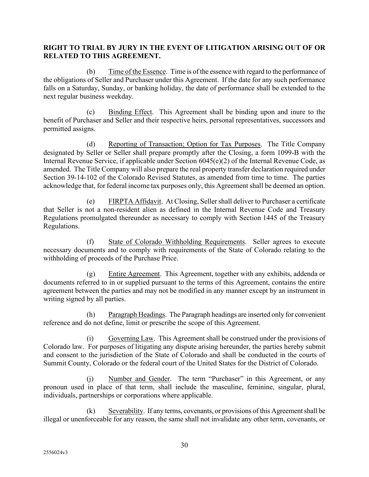#### **RIGHT TO TRIAL BY JURY IN THE EVENT OF LITIGATION ARISING OUT OF OR RELATED TO THIS AGREEMENT.**

(b) Time of the Essence. Time is of the essence with regard to the performance of the obligations of Seller and Purchaser under this Agreement. If the date for any such performance falls on a Saturday, Sunday, or banking holiday, the date of performance shall be extended to the next regular business weekday.

(c) Binding Effect. This Agreement shall be binding upon and inure to the benefit of Purchaser and Seller and their respective heirs, personal representatives, successors and permitted assigns.

(d) Reporting of Transaction; Option for Tax Purposes. The Title Company designated by Seller or Seller shall prepare promptly after the Closing, a form 1099-B with the Internal Revenue Service, if applicable under Section 6045(e)(2) of the Internal Revenue Code, as amended. The Title Company will also prepare the real property transfer declaration required under Section 39-14-102 of the Colorado Revised Statutes, as amended from time to time. The parties acknowledge that, for federal income tax purposes only, this Agreement shall be deemed an option.

(e) FIRPTA Affidavit. At Closing, Seller shall deliver to Purchaser a certificate that Seller is not a non-resident alien as defined in the Internal Revenue Code and Treasury Regulations promulgated thereunder as necessary to comply with Section 1445 of the Treasury Regulations.

(f) State of Colorado Withholding Requirements. Seller agrees to execute necessary documents and to comply with requirements of the State of Colorado relating to the withholding of proceeds of the Purchase Price.

(g) Entire Agreement. This Agreement, together with any exhibits, addenda or documents referred to in or supplied pursuant to the terms of this Agreement, contains the entire agreement between the parties and may not be modified in any manner except by an instrument in writing signed by all parties.

(h) Paragraph Headings. The Paragraph headings are inserted only for convenient reference and do not define, limit or prescribe the scope of this Agreement.

(i) Governing Law. This Agreement shall be construed under the provisions of Colorado law. For purposes of litigating any dispute arising hereunder, the parties hereby submit and consent to the jurisdiction of the State of Colorado and shall be conducted in the courts of Summit County, Colorado or the federal court of the United States for the District of Colorado.

(j) Number and Gender. The term "Purchaser" in this Agreement, or any pronoun used in place of that term, shall include the masculine, feminine, singular, plural, individuals, partnerships or corporations where applicable.

(k) Severability. If any terms, covenants, or provisions of this Agreement shall be illegal or unenforceable for any reason, the same shall not invalidate any other term, covenants, or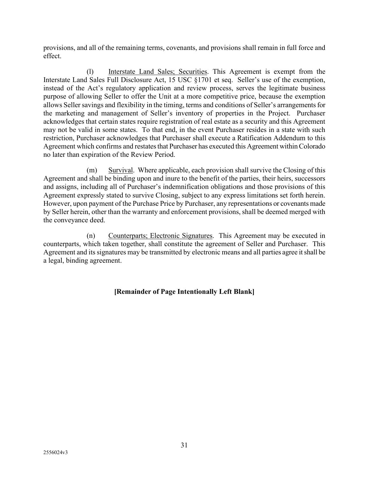provisions, and all of the remaining terms, covenants, and provisions shall remain in full force and effect.

(l) Interstate Land Sales; Securities. This Agreement is exempt from the Interstate Land Sales Full Disclosure Act, 15 USC §1701 et seq. Seller's use of the exemption, instead of the Act's regulatory application and review process, serves the legitimate business purpose of allowing Seller to offer the Unit at a more competitive price, because the exemption allows Seller savings and flexibility in the timing, terms and conditions of Seller's arrangements for the marketing and management of Seller's inventory of properties in the Project. Purchaser acknowledges that certain states require registration of real estate as a security and this Agreement may not be valid in some states. To that end, in the event Purchaser resides in a state with such restriction, Purchaser acknowledges that Purchaser shall execute a Ratification Addendum to this Agreement which confirms and restates that Purchaser has executed this Agreement within Colorado no later than expiration of the Review Period.

(m) Survival. Where applicable, each provision shall survive the Closing of this Agreement and shall be binding upon and inure to the benefit of the parties, their heirs, successors and assigns, including all of Purchaser's indemnification obligations and those provisions of this Agreement expressly stated to survive Closing, subject to any express limitations set forth herein. However, upon payment of the Purchase Price by Purchaser, any representations or covenants made by Seller herein, other than the warranty and enforcement provisions, shall be deemed merged with the conveyance deed.

(n) Counterparts; Electronic Signatures. This Agreement may be executed in counterparts, which taken together, shall constitute the agreement of Seller and Purchaser. This Agreement and its signatures may be transmitted by electronic means and all parties agree it shall be a legal, binding agreement.

#### **[Remainder of Page Intentionally Left Blank]**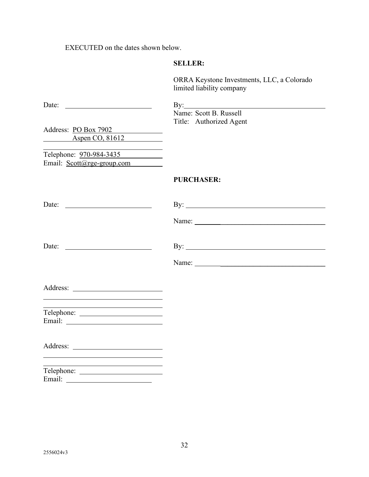EXECUTED on the dates shown below.

### **SELLER:**

ORRA Keystone Investments, LLC, a Colorado limited liability company

| Date: $\qquad \qquad$                                                                                                | $\mathbf{By:}\_\_\_\_\_\$                                                                                                                                                                                                                                                                                                                                                                                     |
|----------------------------------------------------------------------------------------------------------------------|---------------------------------------------------------------------------------------------------------------------------------------------------------------------------------------------------------------------------------------------------------------------------------------------------------------------------------------------------------------------------------------------------------------|
|                                                                                                                      | Name: Scott B. Russell                                                                                                                                                                                                                                                                                                                                                                                        |
|                                                                                                                      | Title: Authorized Agent                                                                                                                                                                                                                                                                                                                                                                                       |
| Address: PO Box 7902                                                                                                 |                                                                                                                                                                                                                                                                                                                                                                                                               |
| Aspen CO, 81612                                                                                                      |                                                                                                                                                                                                                                                                                                                                                                                                               |
| Telephone: 970-984-3435                                                                                              |                                                                                                                                                                                                                                                                                                                                                                                                               |
| Email: Scott@rge-group.com                                                                                           |                                                                                                                                                                                                                                                                                                                                                                                                               |
|                                                                                                                      | <b>PURCHASER:</b>                                                                                                                                                                                                                                                                                                                                                                                             |
| Date:                                                                                                                | By: $\qquad \qquad$                                                                                                                                                                                                                                                                                                                                                                                           |
|                                                                                                                      |                                                                                                                                                                                                                                                                                                                                                                                                               |
|                                                                                                                      |                                                                                                                                                                                                                                                                                                                                                                                                               |
|                                                                                                                      | Name: $\frac{1}{\sqrt{1-\frac{1}{2}}\sqrt{1-\frac{1}{2}}\sqrt{1-\frac{1}{2}}\sqrt{1-\frac{1}{2}}\sqrt{1-\frac{1}{2}}\sqrt{1-\frac{1}{2}}\sqrt{1-\frac{1}{2}}\sqrt{1-\frac{1}{2}}\sqrt{1-\frac{1}{2}}\sqrt{1-\frac{1}{2}}\sqrt{1-\frac{1}{2}}\sqrt{1-\frac{1}{2}}\sqrt{1-\frac{1}{2}}\sqrt{1-\frac{1}{2}}\sqrt{1-\frac{1}{2}}\sqrt{1-\frac{1}{2}}\sqrt{1-\frac{1}{2}}\sqrt{1-\frac{1}{2}}\sqrt{1-\frac{1}{2}}$ |
|                                                                                                                      |                                                                                                                                                                                                                                                                                                                                                                                                               |
| <u> 1989 - Johann Barbara, martxa alemaniar amerikan a</u>                                                           |                                                                                                                                                                                                                                                                                                                                                                                                               |
|                                                                                                                      |                                                                                                                                                                                                                                                                                                                                                                                                               |
|                                                                                                                      |                                                                                                                                                                                                                                                                                                                                                                                                               |
| <u> 1980 - Johann Barn, mars ann an t-Amhain Aonaich an t-Aonaich an t-Aonaich ann an t-Aonaich ann an t-Aonaich</u> |                                                                                                                                                                                                                                                                                                                                                                                                               |
| Email:                                                                                                               |                                                                                                                                                                                                                                                                                                                                                                                                               |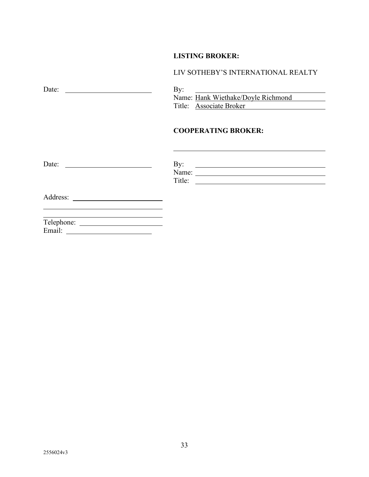### **LISTING BROKER:**

| LIV SOTHEBY'S INTERNATIONAL REALTY                                                                                                |
|-----------------------------------------------------------------------------------------------------------------------------------|
| By:<br><u> 1989 - Andrea Station Books, amerikansk politik (</u><br>Name: Hank Wiethake/Doyle Richmond<br>Title: Associate Broker |
| <b>COOPERATING BROKER:</b>                                                                                                        |
| Date: $\qquad \qquad$<br>By:                                                                                                      |
|                                                                                                                                   |
| <u> 1989 - Johann Stein, marwolaethau a bhann an t-Amhair an t-Amhair an t-Amhair an t-Amhair an t-Amhair an t-A</u>              |
|                                                                                                                                   |